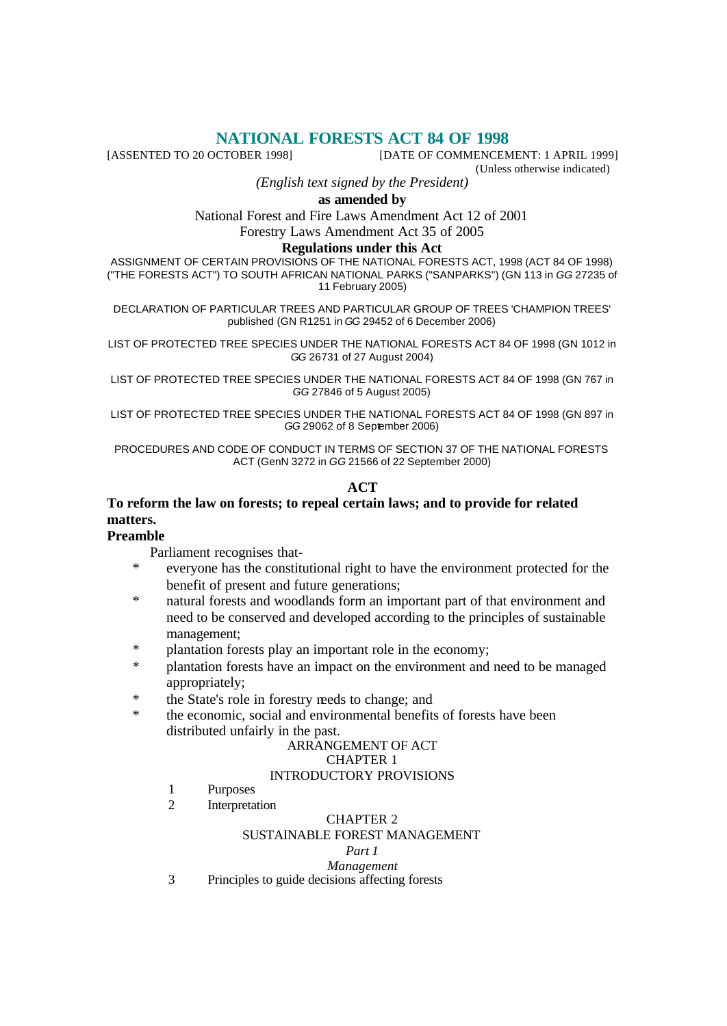# **NATIONAL FORESTS ACT 84 OF 1998**<br>[DATE OF COMMENCEM] [DATE OF COMMENCEM

[DATE OF COMMENCEMENT: 1 APRIL 1999]

(Unless otherwise indicated)

*(English text signed by the President)*

**as amended by**

National Forest and Fire Laws Amendment Act 12 of 2001 Forestry Laws Amendment Act 35 of 2005

### **Regulations under this Act**

ASSIGNMENT OF CERTAIN PROVISIONS OF THE NATIONAL FORESTS ACT, 1998 (ACT 84 OF 1998) ("THE FORESTS ACT") TO SOUTH AFRICAN NATIONAL PARKS ("SANPARKS") (GN 113 in *GG* 27235 of 11 February 2005)

DECLARATION OF PARTICULAR TREES AND PARTICULAR GROUP OF TREES 'CHAMPION TREES' published (GN R1251 in *GG* 29452 of 6 December 2006)

LIST OF PROTECTED TREE SPECIES UNDER THE NATIONAL FORESTS ACT 84 OF 1998 (GN 1012 in *GG* 26731 of 27 August 2004)

LIST OF PROTECTED TREE SPECIES UNDER THE NATIONAL FORESTS ACT 84 OF 1998 (GN 767 in *GG* 27846 of 5 August 2005)

LIST OF PROTECTED TREE SPECIES UNDER THE NATIONAL FORESTS ACT 84 OF 1998 (GN 897 in *GG* 29062 of 8 September 2006)

PROCEDURES AND CODE OF CONDUCT IN TERMS OF SECTION 37 OF THE NATIONAL FORESTS ACT (GenN 3272 in *GG* 21566 of 22 September 2000)

#### **ACT**

### **To reform the law on forests; to repeal certain laws; and to provide for related matters.**

#### **Preamble**

Parliament recognises that-

- everyone has the constitutional right to have the environment protected for the benefit of present and future generations;
- natural forests and woodlands form an important part of that environment and need to be conserved and developed according to the principles of sustainable management;
- \* plantation forests play an important role in the economy;
- \* plantation forests have an impact on the environment and need to be managed appropriately;
- the State's role in forestry reeds to change; and
- \* the economic, social and environmental benefits of forests have been distributed unfairly in the past.

### ARRANGEMENT OF ACT CHAPTER 1

#### INTRODUCTORY PROVISIONS

- 1 Purposes
- 2 Interpretation

#### CHAPTER 2

#### SUSTAINABLE FOREST MANAGEMENT

#### *Part 1*

#### *Management*

3 Principles to guide decisions affecting forests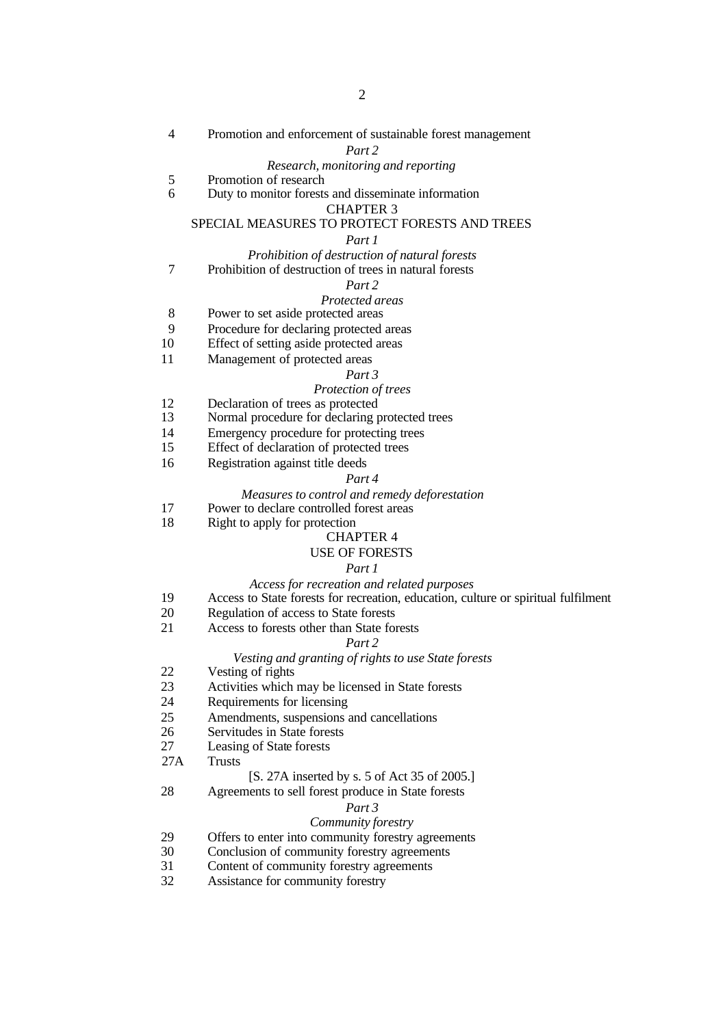4 Promotion and enforcement of sustainable forest management

*Part 2*

#### *Research, monitoring and reporting*

- 5 Promotion of research<br>6 Duty to monitor forests
- 6 Duty to monitor forests and disseminate information CHAPTER 3

#### SPECIAL MEASURES TO PROTECT FORESTS AND TREES

#### *Part 1*

- *Prohibition of destruction of natural forests*
- 7 Prohibition of destruction of trees in natural forests

#### *Part 2*

#### *Protected areas*

- 8 Power to set aside protected areas
- 9 Procedure for declaring protected areas
- 10 Effect of setting aside protected areas
- 11 Management of protected areas

#### *Part 3*

#### *Protection of trees*

- 12 Declaration of trees as protected
- 13 Normal procedure for declaring protected trees
- 14 Emergency procedure for protecting trees
- 15 Effect of declaration of protected trees
- 16 Registration against title deeds

#### *Part 4*

#### *Measures to control and remedy deforestation*

- 17 Power to declare controlled forest areas
- 18 Right to apply for protection

### CHAPTER 4

### USE OF FORESTS

### *Part 1*

#### *Access for recreation and related purposes*

- 19 Access to State forests for recreation, education, culture or spiritual fulfilment
- 20 Regulation of access to State forests
- 21 Access to forests other than State forests

#### *Part 2*

#### *Vesting and granting of rights to use State forests*

- 22 Vesting of rights
- 23 Activities which may be licensed in State forests
- 24 Requirements for licensing
- 25 Amendments, suspensions and cancellations
- 26 Servitudes in State forests
- 27 Leasing of State forests
- 27A Trusts

#### [S. 27A inserted by s. 5 of Act 35 of 2005.]

#### 28 Agreements to sell forest produce in State forests

#### *Part 3*

#### *Community forestry*

- 29 Offers to enter into community forestry agreements
- 30 Conclusion of community forestry agreements
- 31 Content of community forestry agreements
- 32 Assistance for community forestry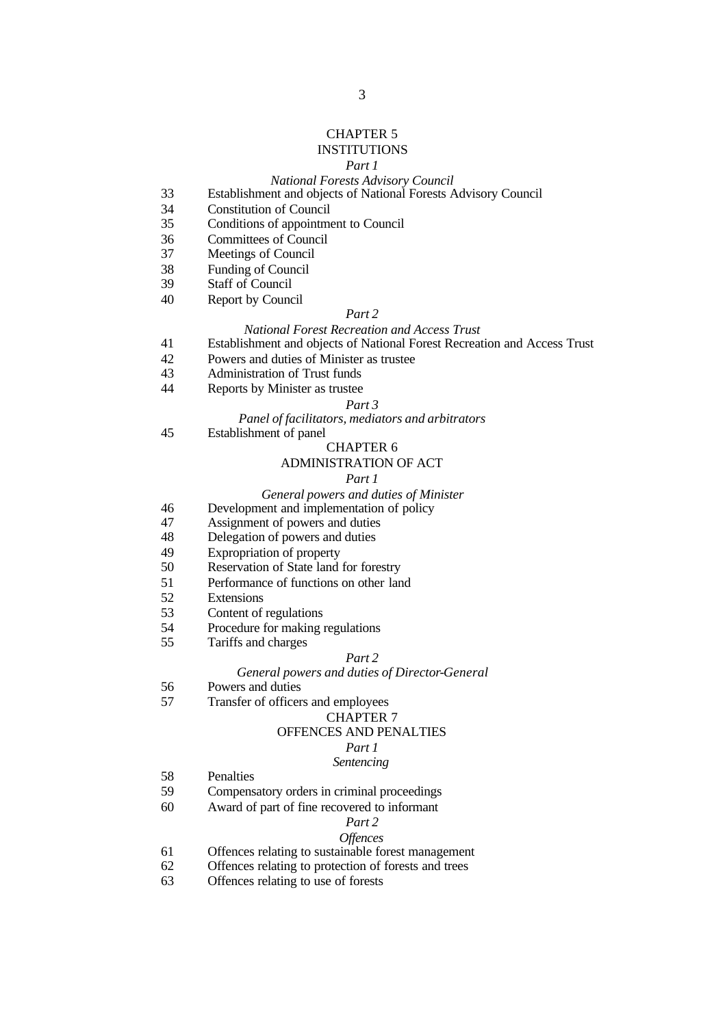#### CHAPTER 5

### INSTITUTIONS

#### *Part 1*

#### *National Forests Advisory Council*

- Establishment and objects of National Forests Advisory Council
- Constitution of Council
- Conditions of appointment to Council
- Committees of Council
- Meetings of Council
- Funding of Council
- Staff of Council
- Report by Council

#### *Part 2*

#### *National Forest Recreation and Access Trust*

- Establishment and objects of National Forest Recreation and Access Trust
- Powers and duties of Minister as trustee
- Administration of Trust funds
- Reports by Minister as trustee

#### *Part 3*

#### *Panel of facilitators, mediators and arbitrators*

Establishment of panel

#### CHAPTER 6

#### ADMINISTRATION OF ACT

#### *Part 1*

#### *General powers and duties of Minister*

- Development and implementation of policy
- Assignment of powers and duties
- Delegation of powers and duties
- Expropriation of property
- Reservation of State land for forestry
- Performance of functions on other land
- Extensions
- Content of regulations
- Procedure for making regulations
- Tariffs and charges

#### *Part 2*

#### *General powers and duties of Director-General*

- Powers and duties
- Transfer of officers and employees

#### CHAPTER 7

#### OFFENCES AND PENALTIES

### *Part 1*

### *Sentencing*

- Penalties
- Compensatory orders in criminal proceedings
- Award of part of fine recovered to informant

### *Part 2*

### *Offences*

- Offences relating to sustainable forest management
- Offences relating to protection of forests and trees
- Offences relating to use of forests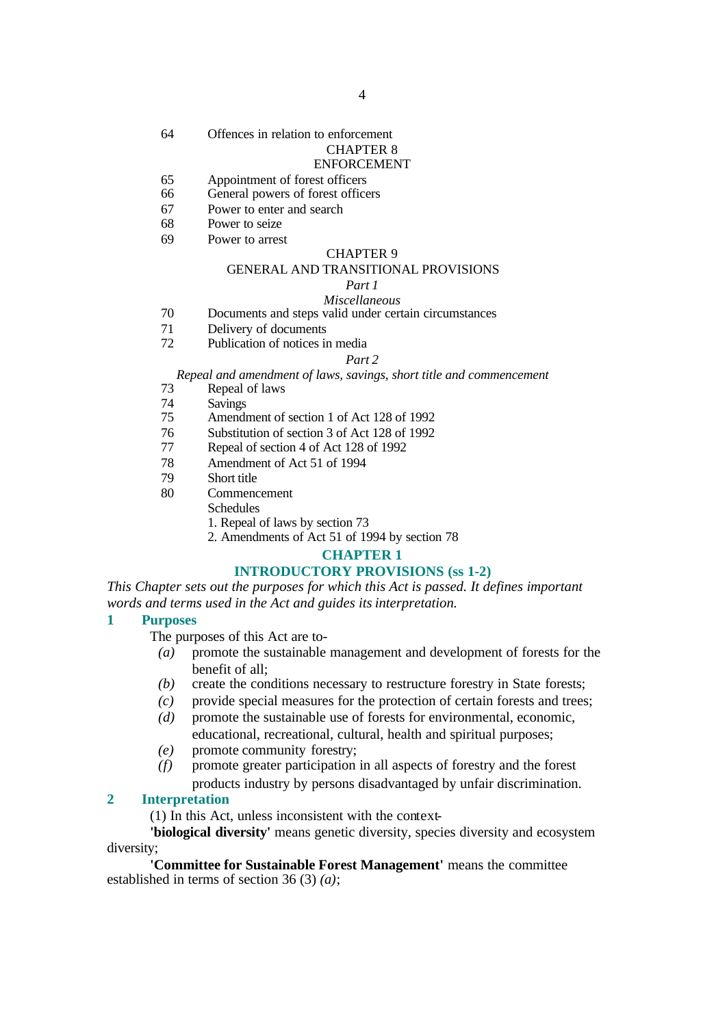64 Offences in relation to enforcement

### CHAPTER 8

#### ENFORCEMENT

- 65 Appointment of forest officers
- 66 General powers of forest officers
- 67 Power to enter and search
- 68 Power to seize
- 69 Power to arrest

#### CHAPTER 9

#### GENERAL AND TRANSITIONAL PROVISIONS

#### *Part 1*

#### *Miscellaneous*

- 70 Documents and steps valid under certain circumstances
- 71 Delivery of documents
- 72 Publication of notices in media

#### *Part 2*

*Repeal and amendment of laws, savings, short title and commencement*

- 73 Repeal of laws
- 74 Savings
- 75 Amendment of section 1 of Act 128 of 1992
- 76 Substitution of section 3 of Act 128 of 1992
- 77 Repeal of section 4 of Act 128 of 1992
- 78 Amendment of Act 51 of 1994
- 79 Short title
- 80 Commencement
	- **Schedules**
	- 1. Repeal of laws by section 73
	- 2. Amendments of Act 51 of 1994 by section 78

### **CHAPTER 1**

#### **INTRODUCTORY PROVISIONS (ss 1-2)**

*This Chapter sets out the purposes for which this Act is passed. It defines important words and terms used in the Act and guides its interpretation.*

#### **1 Purposes**

The purposes of this Act are to-

- *(a)* promote the sustainable management and development of forests for the benefit of all;
- *(b)* create the conditions necessary to restructure forestry in State forests;
- *(c)* provide special measures for the protection of certain forests and trees;
- *(d)* promote the sustainable use of forests for environmental, economic,

educational, recreational, cultural, health and spiritual purposes; *(e)* promote community forestry;

*(f)* promote greater participation in all aspects of forestry and the forest products industry by persons disadvantaged by unfair discrimination.

#### **2 Interpretation**

(1) In this Act, unless inconsistent with the context-

**'biological diversity'** means genetic diversity, species diversity and ecosystem diversity;

**'Committee for Sustainable Forest Management'** means the committee established in terms of section 36 (3) *(a)*;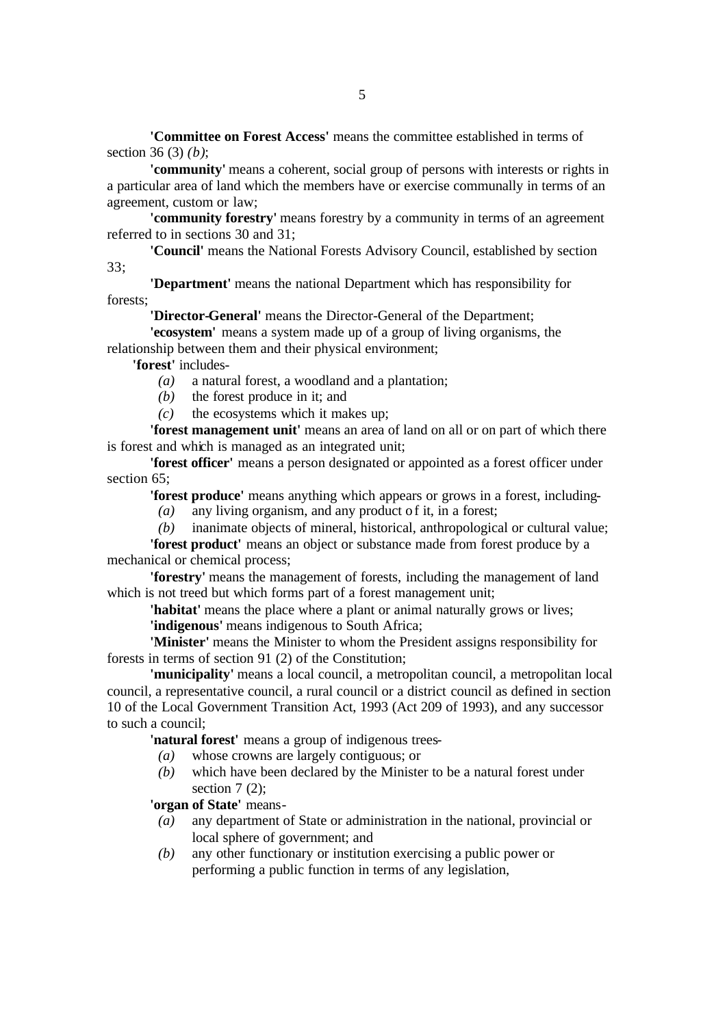**'Committee on Forest Access'** means the committee established in terms of section 36 (3) *(b)*;

**'community'** means a coherent, social group of persons with interests or rights in a particular area of land which the members have or exercise communally in terms of an agreement, custom or law;

**'community forestry'** means forestry by a community in terms of an agreement referred to in sections 30 and 31;

**'Council'** means the National Forests Advisory Council, established by section 33;

**'Department'** means the national Department which has responsibility for forests;

**'Director-General'** means the Director-General of the Department;

**'ecosystem'** means a system made up of a group of living organisms, the relationship between them and their physical environment;

**'forest'** includes-

- *(a)* a natural forest, a woodland and a plantation;
- *(b)* the forest produce in it; and
- *(c)* the ecosystems which it makes up;

**'forest management unit'** means an area of land on all or on part of which there is forest and which is managed as an integrated unit;

**'forest officer'** means a person designated or appointed as a forest officer under section 65:

**'forest produce'** means anything which appears or grows in a forest, including-

*(a)* any living organism, and any product of it, in a forest;

*(b)* inanimate objects of mineral, historical, anthropological or cultural value;

**'forest product'** means an object or substance made from forest produce by a mechanical or chemical process;

**'forestry'** means the management of forests, including the management of land which is not treed but which forms part of a forest management unit;

**'habitat'** means the place where a plant or animal naturally grows or lives; **'indigenous'** means indigenous to South Africa;

**'Minister'** means the Minister to whom the President assigns responsibility for forests in terms of section 91 (2) of the Constitution;

**'municipality'** means a local council, a metropolitan council, a metropolitan local council, a representative council, a rural council or a district council as defined in section 10 of the Local Government Transition Act, 1993 (Act 209 of 1993), and any successor to such a council;

**'natural forest'** means a group of indigenous trees-

- *(a)* whose crowns are largely contiguous; or
- *(b)* which have been declared by the Minister to be a natural forest under section  $7(2)$ ;

**'organ of State'** means-

- *(a)* any department of State or administration in the national, provincial or local sphere of government; and
- *(b)* any other functionary or institution exercising a public power or performing a public function in terms of any legislation,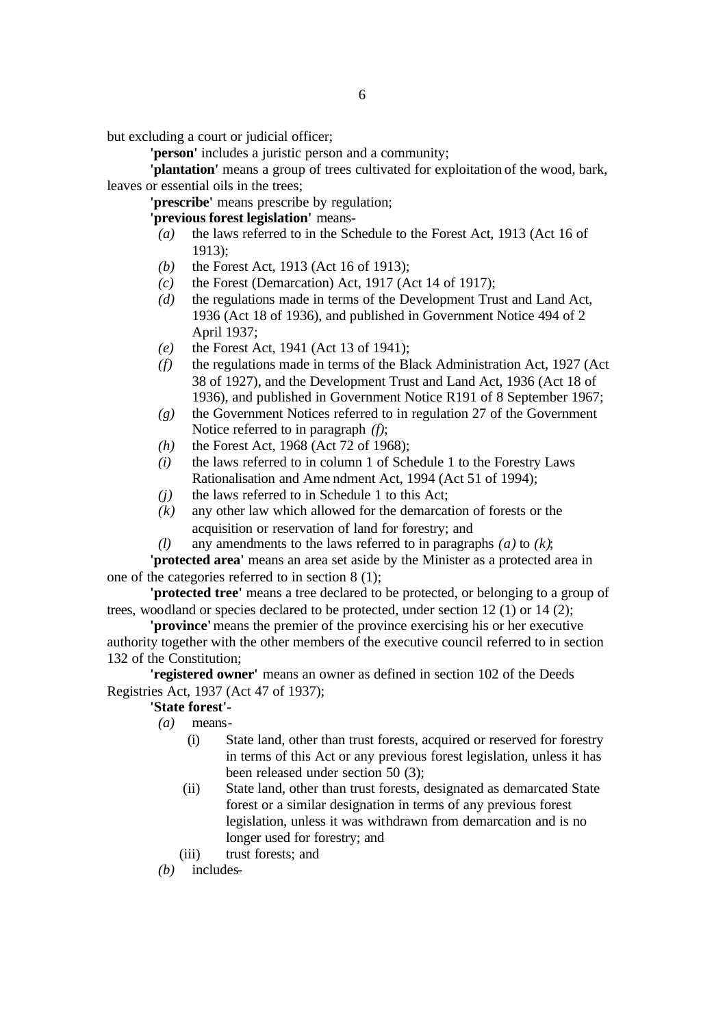but excluding a court or judicial officer;

**'person'** includes a juristic person and a community;

**'plantation'** means a group of trees cultivated for exploitation of the wood, bark, leaves or essential oils in the trees;

**'prescribe'** means prescribe by regulation;

**'previous forest legislation'** means-

- *(a)* the laws referred to in the Schedule to the Forest Act, 1913 (Act 16 of 1913);
- *(b)* the Forest Act, 1913 (Act 16 of 1913);
- *(c)* the Forest (Demarcation) Act, 1917 (Act 14 of 1917);
- *(d)* the regulations made in terms of the Development Trust and Land Act, 1936 (Act 18 of 1936), and published in Government Notice 494 of 2 April 1937;
- *(e)* the Forest Act, 1941 (Act 13 of 1941);
- *(f)* the regulations made in terms of the Black Administration Act, 1927 (Act 38 of 1927), and the Development Trust and Land Act, 1936 (Act 18 of 1936), and published in Government Notice R191 of 8 September 1967;
- *(g)* the Government Notices referred to in regulation 27 of the Government Notice referred to in paragraph *(f)*;
- *(h)* the Forest Act, 1968 (Act 72 of 1968);
- *(i)* the laws referred to in column 1 of Schedule 1 to the Forestry Laws Rationalisation and Ame ndment Act, 1994 (Act 51 of 1994);
- *(j)* the laws referred to in Schedule 1 to this Act;
- *(k)* any other law which allowed for the demarcation of forests or the acquisition or reservation of land for forestry; and
- *(l)* any amendments to the laws referred to in paragraphs *(a)* to *(k)*;

**'protected area'** means an area set aside by the Minister as a protected area in one of the categories referred to in section 8 (1);

**'protected tree'** means a tree declared to be protected, or belonging to a group of trees, woodland or species declared to be protected, under section 12 (1) or 14 (2);

**'province'** means the premier of the province exercising his or her executive authority together with the other members of the executive council referred to in section 132 of the Constitution;

**'registered owner'** means an owner as defined in section 102 of the Deeds Registries Act, 1937 (Act 47 of 1937);

#### **'State forest'**-

*(a)* means-

- (i) State land, other than trust forests, acquired or reserved for forestry in terms of this Act or any previous forest legislation, unless it has been released under section 50 (3);
- (ii) State land, other than trust forests, designated as demarcated State forest or a similar designation in terms of any previous forest legislation, unless it was withdrawn from demarcation and is no longer used for forestry; and
- (iii) trust forests; and

*<sup>(</sup>b)* includes-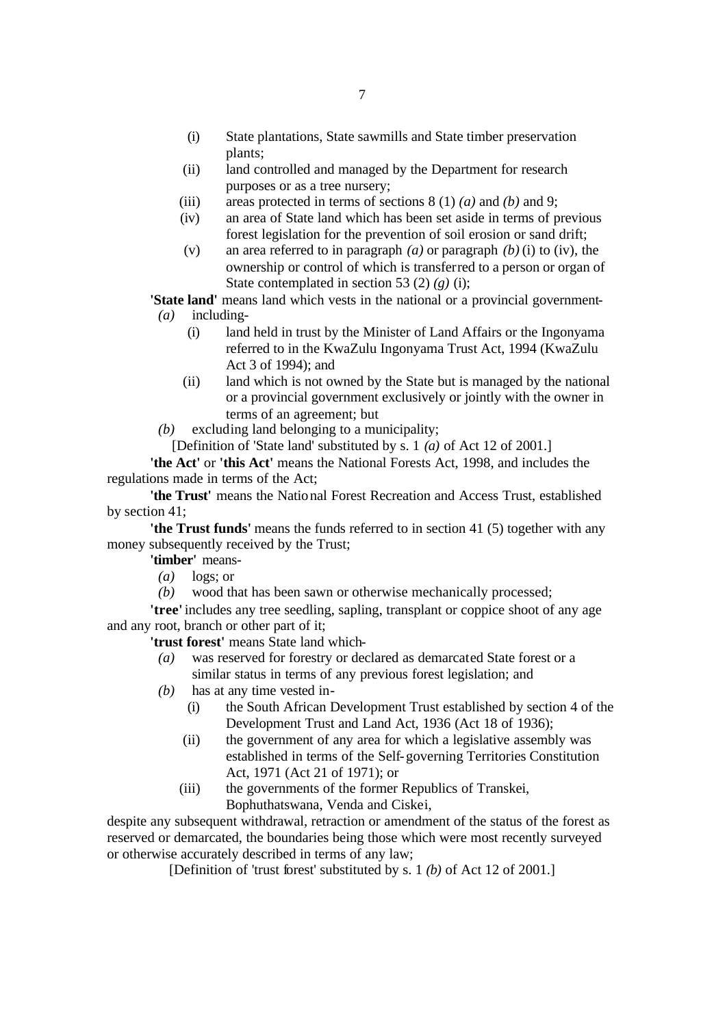- (i) State plantations, State sawmills and State timber preservation plants;
- (ii) land controlled and managed by the Department for research purposes or as a tree nursery;
- (iii) areas protected in terms of sections 8 (1) *(a)* and *(b)* and 9;
- (iv) an area of State land which has been set aside in terms of previous forest legislation for the prevention of soil erosion or sand drift;
- (v) an area referred to in paragraph *(a)* or paragraph *(b)* (i) to (iv), the ownership or control of which is transferred to a person or organ of State contemplated in section 53 (2) *(g)* (i);

**'State land'** means land which vests in the national or a provincial government- *(a)* including-

- (i) land held in trust by the Minister of Land Affairs or the Ingonyama referred to in the KwaZulu Ingonyama Trust Act, 1994 (KwaZulu Act 3 of 1994); and
- (ii) land which is not owned by the State but is managed by the national or a provincial government exclusively or jointly with the owner in terms of an agreement; but
- *(b)* excluding land belonging to a municipality;
	- [Definition of 'State land' substituted by s. 1 *(a)* of Act 12 of 2001.]

**'the Act'** or **'this Act'** means the National Forests Act, 1998, and includes the regulations made in terms of the Act;

**'the Trust'** means the National Forest Recreation and Access Trust, established by section 41;

**'the Trust funds'** means the funds referred to in section 41 (5) together with any money subsequently received by the Trust;

**'timber'** means-

- *(a)* logs; or
- *(b)* wood that has been sawn or otherwise mechanically processed;

**'tree'** includes any tree seedling, sapling, transplant or coppice shoot of any age and any root, branch or other part of it;

**'trust forest'** means State land which-

- *(a)* was reserved for forestry or declared as demarcated State forest or a similar status in terms of any previous forest legislation; and
- *(b)* has at any time vested in-
	- (i) the South African Development Trust established by section 4 of the Development Trust and Land Act, 1936 (Act 18 of 1936);
	- (ii) the government of any area for which a legislative assembly was established in terms of the Self-governing Territories Constitution Act, 1971 (Act 21 of 1971); or
	- (iii) the governments of the former Republics of Transkei, Bophuthatswana, Venda and Ciskei,

despite any subsequent withdrawal, retraction or amendment of the status of the forest as reserved or demarcated, the boundaries being those which were most recently surveyed or otherwise accurately described in terms of any law;

[Definition of 'trust forest' substituted by s. 1 *(b)* of Act 12 of 2001.]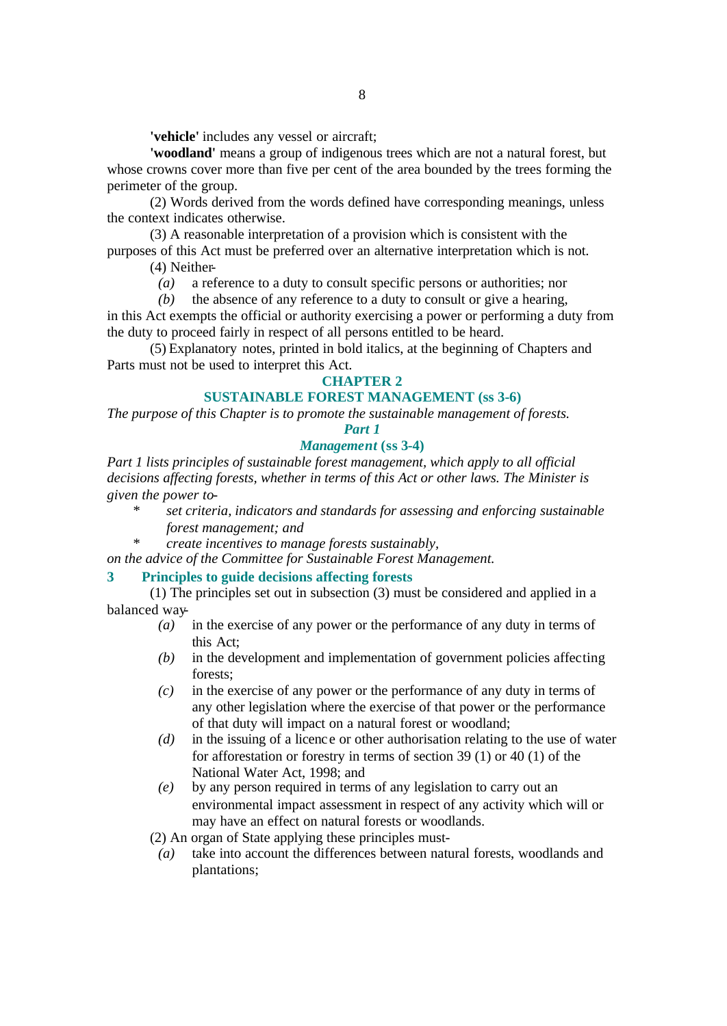**'vehicle'** includes any vessel or aircraft;

**'woodland'** means a group of indigenous trees which are not a natural forest, but whose crowns cover more than five per cent of the area bounded by the trees forming the perimeter of the group.

(2) Words derived from the words defined have corresponding meanings, unless the context indicates otherwise.

(3) A reasonable interpretation of a provision which is consistent with the purposes of this Act must be preferred over an alternative interpretation which is not.

(4) Neither-

*(a)* a reference to a duty to consult specific persons or authorities; nor

*(b)* the absence of any reference to a duty to consult or give a hearing, in this Act exempts the official or authority exercising a power or performing a duty from the duty to proceed fairly in respect of all persons entitled to be heard.

(5) Explanatory notes, printed in bold italics, at the beginning of Chapters and Parts must not be used to interpret this Act.

#### **CHAPTER 2**

#### **SUSTAINABLE FOREST MANAGEMENT (ss 3-6)**

*The purpose of this Chapter is to promote the sustainable management of forests.*

*Part 1*

#### *Management* **(ss 3-4)**

*Part 1 lists principles of sustainable forest management, which apply to all official decisions affecting forests, whether in terms of this Act or other laws. The Minister is given the power to-*

- *\* set criteria, indicators and standards for assessing and enforcing sustainable forest management; and*
- *\* create incentives to manage forests sustainably,*

*on the advice of the Committee for Sustainable Forest Management.*

### **3 Principles to guide decisions affecting forests**

(1) The principles set out in subsection (3) must be considered and applied in a balanced way-

- *(a)* in the exercise of any power or the performance of any duty in terms of this Act;
- *(b)* in the development and implementation of government policies affecting forests;
- *(c)* in the exercise of any power or the performance of any duty in terms of any other legislation where the exercise of that power or the performance of that duty will impact on a natural forest or woodland;
- *(d)* in the issuing of a licence or other authorisation relating to the use of water for afforestation or forestry in terms of section 39 (1) or 40 (1) of the National Water Act, 1998; and
- *(e)* by any person required in terms of any legislation to carry out an environmental impact assessment in respect of any activity which will or may have an effect on natural forests or woodlands.

(2) An organ of State applying these principles must-

*(a)* take into account the differences between natural forests, woodlands and plantations;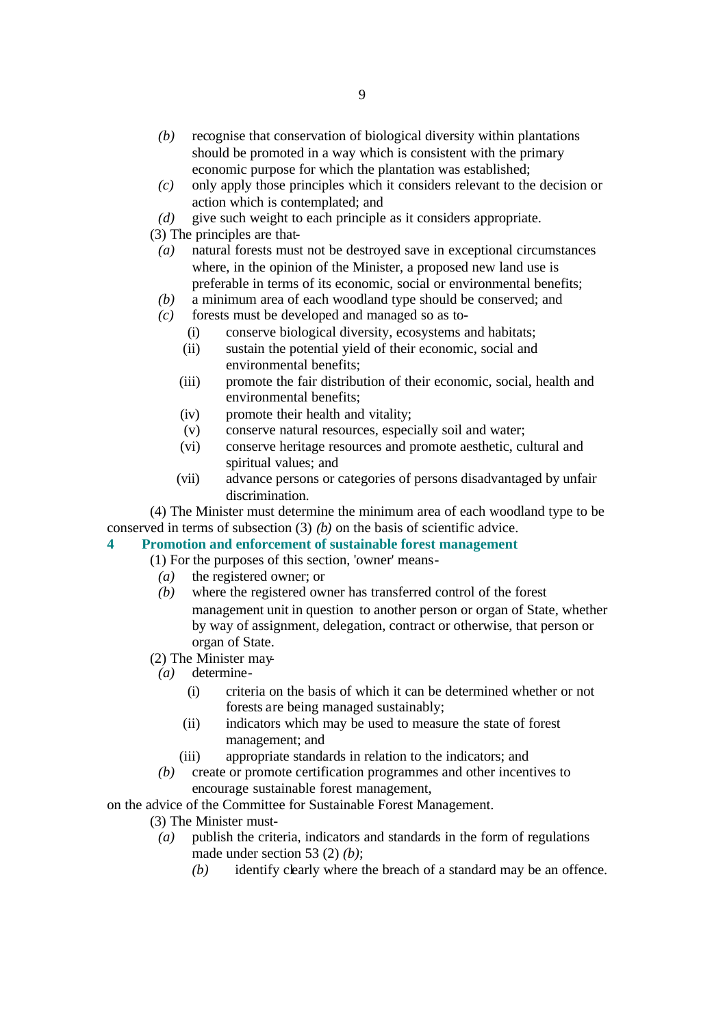- *(b)* recognise that conservation of biological diversity within plantations should be promoted in a way which is consistent with the primary economic purpose for which the plantation was established;
- *(c)* only apply those principles which it considers relevant to the decision or action which is contemplated; and
- *(d)* give such weight to each principle as it considers appropriate.

(3) The principles are that-

- *(a)* natural forests must not be destroyed save in exceptional circumstances where, in the opinion of the Minister, a proposed new land use is preferable in terms of its economic, social or environmental benefits;
- *(b)* a minimum area of each woodland type should be conserved; and
- *(c)* forests must be developed and managed so as to-
	- (i) conserve biological diversity, ecosystems and habitats;
	- (ii) sustain the potential yield of their economic, social and environmental benefits;
	- (iii) promote the fair distribution of their economic, social, health and environmental benefits;
	- (iv) promote their health and vitality;
	- (v) conserve natural resources, especially soil and water;
	- (vi) conserve heritage resources and promote aesthetic, cultural and spiritual values; and
	- (vii) advance persons or categories of persons disadvantaged by unfair discrimination.

(4) The Minister must determine the minimum area of each woodland type to be conserved in terms of subsection (3) *(b)* on the basis of scientific advice.

### **4 Promotion and enforcement of sustainable forest management**

(1) For the purposes of this section, 'owner' means-

- *(a)* the registered owner; or
- *(b)* where the registered owner has transferred control of the forest management unit in question to another person or organ of State, whether by way of assignment, delegation, contract or otherwise, that person or organ of State.
- (2) The Minister may-
- *(a)* determine-
	- (i) criteria on the basis of which it can be determined whether or not forests are being managed sustainably;
	- (ii) indicators which may be used to measure the state of forest management; and
	- (iii) appropriate standards in relation to the indicators; and
- *(b)* create or promote certification programmes and other incentives to encourage sustainable forest management,

on the advice of the Committee for Sustainable Forest Management.

- (3) The Minister must-
	- *(a)* publish the criteria, indicators and standards in the form of regulations made under section 53 (2) *(b)*;
		- *(b)* identify clearly where the breach of a standard may be an offence.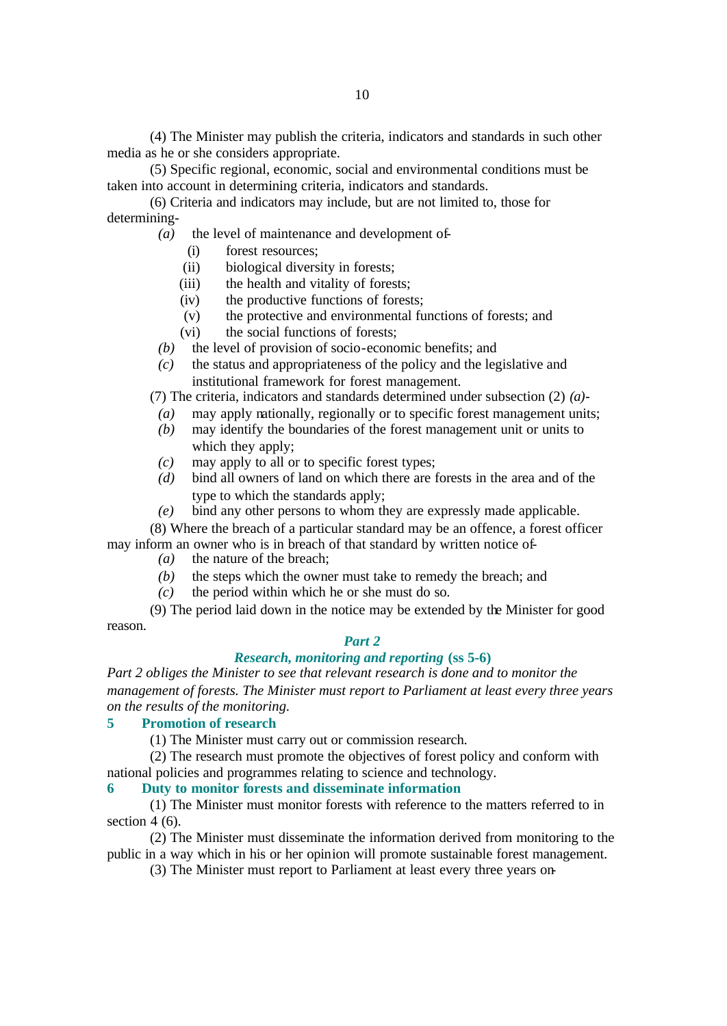(4) The Minister may publish the criteria, indicators and standards in such other media as he or she considers appropriate.

(5) Specific regional, economic, social and environmental conditions must be taken into account in determining criteria, indicators and standards.

(6) Criteria and indicators may include, but are not limited to, those for determining-

- *(a)* the level of maintenance and development of-
	- (i) forest resources;
	- (ii) biological diversity in forests;
	- (iii) the health and vitality of forests;
	- (iv) the productive functions of forests;
	- (v) the protective and environmental functions of forests; and
	- (vi) the social functions of forests;
- *(b)* the level of provision of socio-economic benefits; and
- *(c)* the status and appropriateness of the policy and the legislative and institutional framework for forest management.

(7) The criteria, indicators and standards determined under subsection (2) *(a)*-

- *(a)* may apply nationally, regionally or to specific forest management units;
- *(b)* may identify the boundaries of the forest management unit or units to which they apply;
- *(c)* may apply to all or to specific forest types;
- *(d)* bind all owners of land on which there are forests in the area and of the type to which the standards apply;
- *(e)* bind any other persons to whom they are expressly made applicable.

(8) Where the breach of a particular standard may be an offence, a forest officer may inform an owner who is in breach of that standard by written notice of-

- *(a)* the nature of the breach;
- *(b)* the steps which the owner must take to remedy the breach; and
- *(c)* the period within which he or she must do so.

(9) The period laid down in the notice may be extended by the Minister for good reason.

### *Part 2*

### *Research, monitoring and reporting* **(ss 5-6)**

*Part 2 obliges the Minister to see that relevant research is done and to monitor the management of forests. The Minister must report to Parliament at least every three years on the results of the monitoring.*

#### **5 Promotion of research**

(1) The Minister must carry out or commission research.

(2) The research must promote the objectives of forest policy and conform with national policies and programmes relating to science and technology.

#### **6 Duty to monitor forests and disseminate information**

(1) The Minister must monitor forests with reference to the matters referred to in section 4 (6).

(2) The Minister must disseminate the information derived from monitoring to the public in a way which in his or her opinion will promote sustainable forest management.

(3) The Minister must report to Parliament at least every three years on-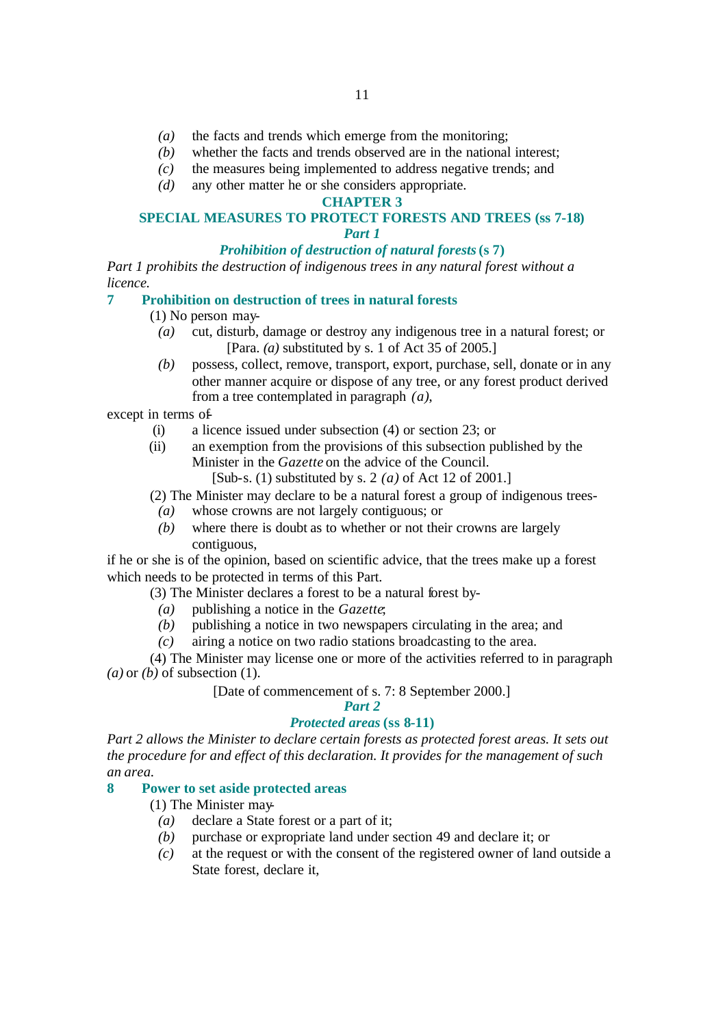- *(a)* the facts and trends which emerge from the monitoring;
- *(b)* whether the facts and trends observed are in the national interest;
- *(c)* the measures being implemented to address negative trends; and
- *(d)* any other matter he or she considers appropriate.

#### **CHAPTER 3**

#### **SPECIAL MEASURES TO PROTECT FORESTS AND TREES (ss 7-18)** *Part 1*

#### *Prohibition of destruction of natural forests* **(s 7)**

*Part 1 prohibits the destruction of indigenous trees in any natural forest without a licence.*

#### **7 Prohibition on destruction of trees in natural forests**

(1) No person may-

- *(a)* cut, disturb, damage or destroy any indigenous tree in a natural forest; or [Para. *(a)* substituted by s. 1 of Act 35 of 2005.]
- *(b)* possess, collect, remove, transport, export, purchase, sell, donate or in any other manner acquire or dispose of any tree, or any forest product derived from a tree contemplated in paragraph *(a)*,

except in terms of-

- (i) a licence issued under subsection (4) or section 23; or
- (ii) an exemption from the provisions of this subsection published by the Minister in the *Gazette* on the advice of the Council.
	- [Sub-s. (1) substituted by s. 2 *(a)* of Act 12 of 2001.]

(2) The Minister may declare to be a natural forest a group of indigenous trees-

- *(a)* whose crowns are not largely contiguous; or
- *(b)* where there is doubt as to whether or not their crowns are largely contiguous,

if he or she is of the opinion, based on scientific advice, that the trees make up a forest which needs to be protected in terms of this Part.

(3) The Minister declares a forest to be a natural forest by-

- *(a)* publishing a notice in the *Gazette*;
- *(b)* publishing a notice in two newspapers circulating in the area; and
- *(c)* airing a notice on two radio stations broadcasting to the area.

(4) The Minister may license one or more of the activities referred to in paragraph *(a)* or *(b)* of subsection (1).

[Date of commencement of s. 7: 8 September 2000.]

### *Part 2*

### *Protected areas* **(ss 8-11)**

*Part 2 allows the Minister to declare certain forests as protected forest areas. It sets out the procedure for and effect of this declaration. It provides for the management of such an area.*

### **8 Power to set aside protected areas**

(1) The Minister may-

- *(a)* declare a State forest or a part of it;
- *(b)* purchase or expropriate land under section 49 and declare it; or
- *(c)* at the request or with the consent of the registered owner of land outside a State forest, declare it,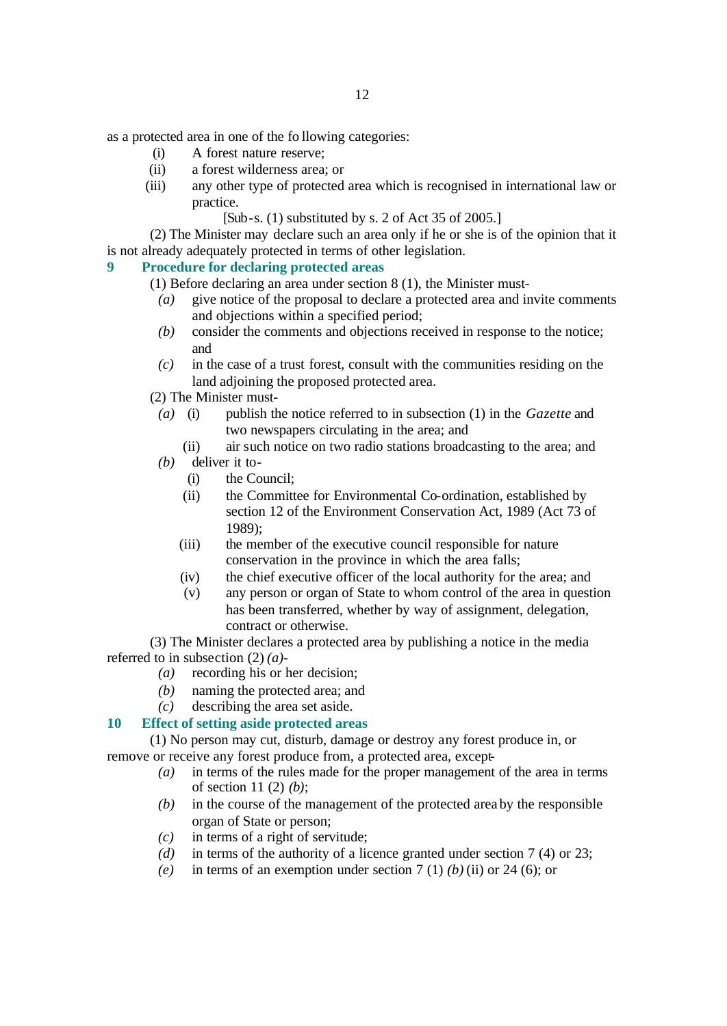as a protected area in one of the fo llowing categories:

- (i) A forest nature reserve;
- (ii) a forest wilderness area; or
- (iii) any other type of protected area which is recognised in international law or practice.

#### [Sub-s. (1) substituted by s. 2 of Act 35 of 2005.]

(2) The Minister may declare such an area only if he or she is of the opinion that it is not already adequately protected in terms of other legislation.

#### **9 Procedure for declaring protected areas**

(1) Before declaring an area under section 8 (1), the Minister must-

- *(a)* give notice of the proposal to declare a protected area and invite comments and objections within a specified period;
- *(b)* consider the comments and objections received in response to the notice; and
- *(c)* in the case of a trust forest, consult with the communities residing on the land adjoining the proposed protected area.
- (2) The Minister must-
- *(a)* (i) publish the notice referred to in subsection (1) in the *Gazette* and two newspapers circulating in the area; and
	- (ii) air such notice on two radio stations broadcasting to the area; and
- *(b)* deliver it to-
	- (i) the Council;
	- (ii) the Committee for Environmental Co-ordination, established by section 12 of the Environment Conservation Act, 1989 (Act 73 of 1989);
	- (iii) the member of the executive council responsible for nature conservation in the province in which the area falls;
	- (iv) the chief executive officer of the local authority for the area; and
	- (v) any person or organ of State to whom control of the area in question has been transferred, whether by way of assignment, delegation, contract or otherwise.

(3) The Minister declares a protected area by publishing a notice in the media referred to in subsection (2) *(a)*-

- *(a)* recording his or her decision;
- *(b)* naming the protected area; and
- *(c)* describing the area set aside.

#### **10 Effect of setting aside protected areas**

(1) No person may cut, disturb, damage or destroy any forest produce in, or remove or receive any forest produce from, a protected area, except-

- *(a)* in terms of the rules made for the proper management of the area in terms of section 11 (2) *(b)*;
- *(b)* in the course of the management of the protected area by the responsible organ of State or person;
- *(c)* in terms of a right of servitude;
- *(d)* in terms of the authority of a licence granted under section 7 (4) or 23;
- *(e)* in terms of an exemption under section  $7(1)$  *(b) (ii)* or 24 *(6)*; or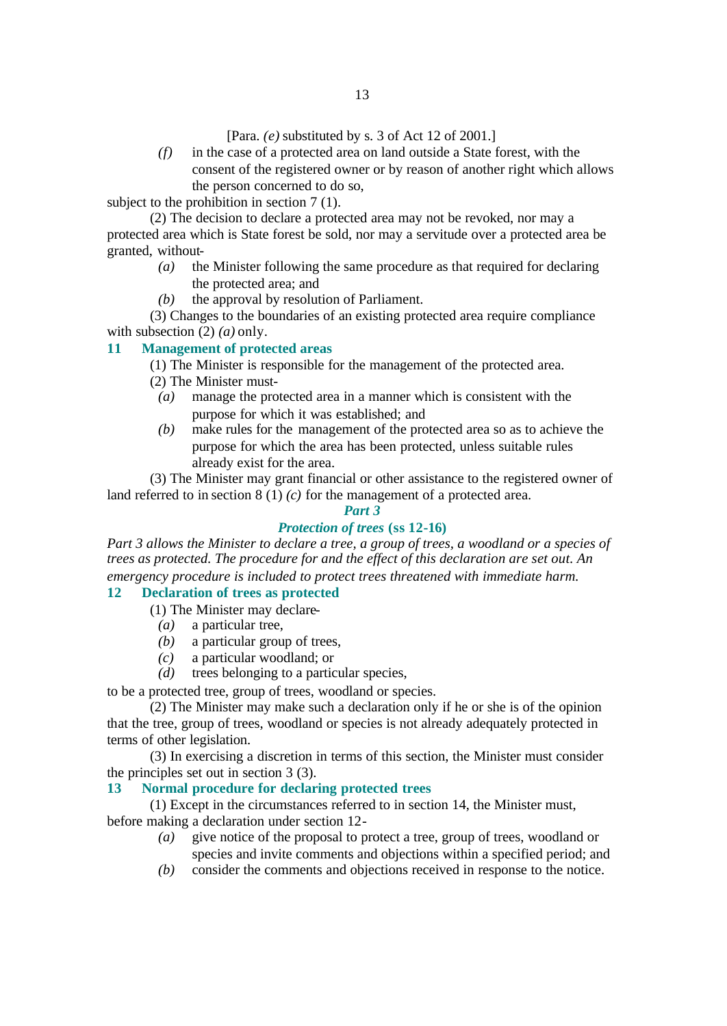[Para. *(e)* substituted by s. 3 of Act 12 of 2001.]

*(f)* in the case of a protected area on land outside a State forest, with the consent of the registered owner or by reason of another right which allows the person concerned to do so,

subject to the prohibition in section 7 (1).

(2) The decision to declare a protected area may not be revoked, nor may a protected area which is State forest be sold, nor may a servitude over a protected area be granted, without-

- *(a)* the Minister following the same procedure as that required for declaring the protected area; and
- *(b)* the approval by resolution of Parliament.

(3) Changes to the boundaries of an existing protected area require compliance with subsection (2) *(a)* only.

#### **11 Management of protected areas**

(1) The Minister is responsible for the management of the protected area.

- (2) The Minister must-
- *(a)* manage the protected area in a manner which is consistent with the purpose for which it was established; and
- *(b)* make rules for the management of the protected area so as to achieve the purpose for which the area has been protected, unless suitable rules already exist for the area.

(3) The Minister may grant financial or other assistance to the registered owner of land referred to in section 8 (1) *(c)* for the management of a protected area.

#### *Part 3*

### *Protection of trees* **(ss 12-16)**

*Part 3 allows the Minister to declare a tree, a group of trees, a woodland or a species of trees as protected. The procedure for and the effect of this declaration are set out. An emergency procedure is included to protect trees threatened with immediate harm.*

#### **12 Declaration of trees as protected**

- (1) The Minister may declare-
	- *(a)* a particular tree,
	- *(b)* a particular group of trees,
	- *(c)* a particular woodland; or
	- *(d)* trees belonging to a particular species,

to be a protected tree, group of trees, woodland or species.

(2) The Minister may make such a declaration only if he or she is of the opinion that the tree, group of trees, woodland or species is not already adequately protected in terms of other legislation.

(3) In exercising a discretion in terms of this section, the Minister must consider the principles set out in section 3 (3).

#### **13 Normal procedure for declaring protected trees**

(1) Except in the circumstances referred to in section 14, the Minister must, before making a declaration under section 12-

- *(a)* give notice of the proposal to protect a tree, group of trees, woodland or species and invite comments and objections within a specified period; and
- *(b)* consider the comments and objections received in response to the notice.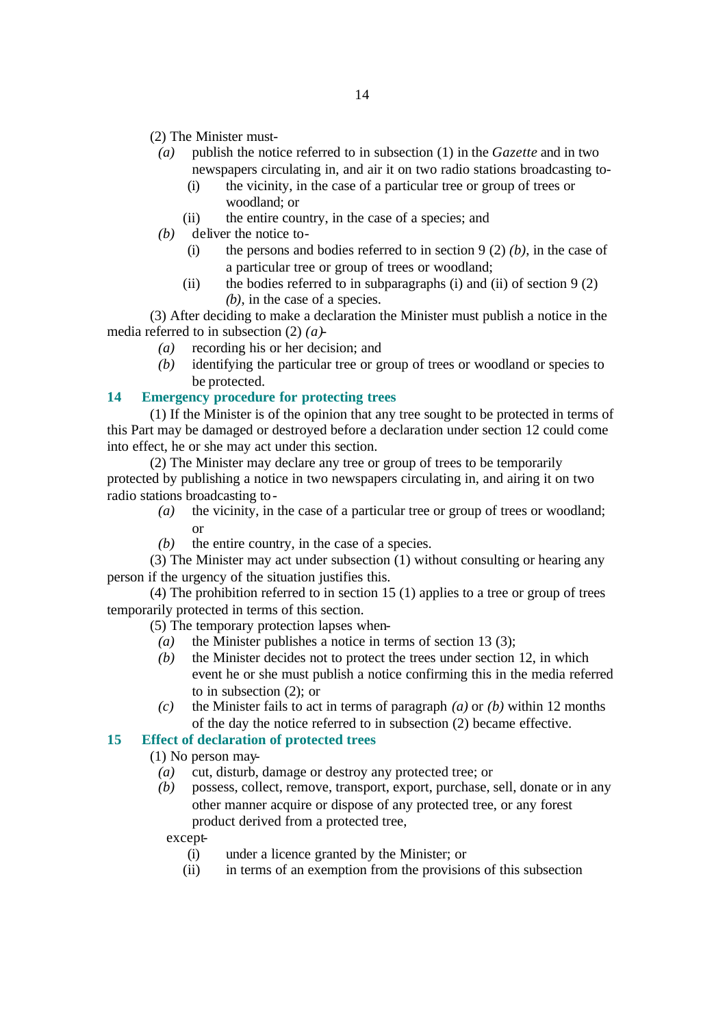(2) The Minister must-

- *(a)* publish the notice referred to in subsection (1) in the *Gazette* and in two newspapers circulating in, and air it on two radio stations broadcasting to-
	- (i) the vicinity, in the case of a particular tree or group of trees or woodland; or
	- (ii) the entire country, in the case of a species; and
- *(b)* deliver the notice to-
	- (i) the persons and bodies referred to in section 9 (2) *(b)*, in the case of a particular tree or group of trees or woodland;
	- (ii) the bodies referred to in subparagraphs (i) and (ii) of section 9 (2) *(b)*, in the case of a species.

(3) After deciding to make a declaration the Minister must publish a notice in the media referred to in subsection (2) *(a)*-

- *(a)* recording his or her decision; and
- *(b)* identifying the particular tree or group of trees or woodland or species to be protected.

#### **14 Emergency procedure for protecting trees**

(1) If the Minister is of the opinion that any tree sought to be protected in terms of this Part may be damaged or destroyed before a declaration under section 12 could come into effect, he or she may act under this section.

(2) The Minister may declare any tree or group of trees to be temporarily protected by publishing a notice in two newspapers circulating in, and airing it on two radio stations broadcasting to-

- *(a)* the vicinity, in the case of a particular tree or group of trees or woodland; or
- *(b)* the entire country, in the case of a species.

(3) The Minister may act under subsection (1) without consulting or hearing any person if the urgency of the situation justifies this.

(4) The prohibition referred to in section 15 (1) applies to a tree or group of trees temporarily protected in terms of this section.

(5) The temporary protection lapses when-

- *(a)* the Minister publishes a notice in terms of section 13 (3);
- *(b)* the Minister decides not to protect the trees under section 12, in which event he or she must publish a notice confirming this in the media referred to in subsection (2); or
- *(c)* the Minister fails to act in terms of paragraph *(a)* or *(b)* within 12 months of the day the notice referred to in subsection (2) became effective.

### **15 Effect of declaration of protected trees**

- (1) No person may-
	- *(a)* cut, disturb, damage or destroy any protected tree; or
	- *(b)* possess, collect, remove, transport, export, purchase, sell, donate or in any other manner acquire or dispose of any protected tree, or any forest product derived from a protected tree,

#### except-

- (i) under a licence granted by the Minister; or
- (ii) in terms of an exemption from the provisions of this subsection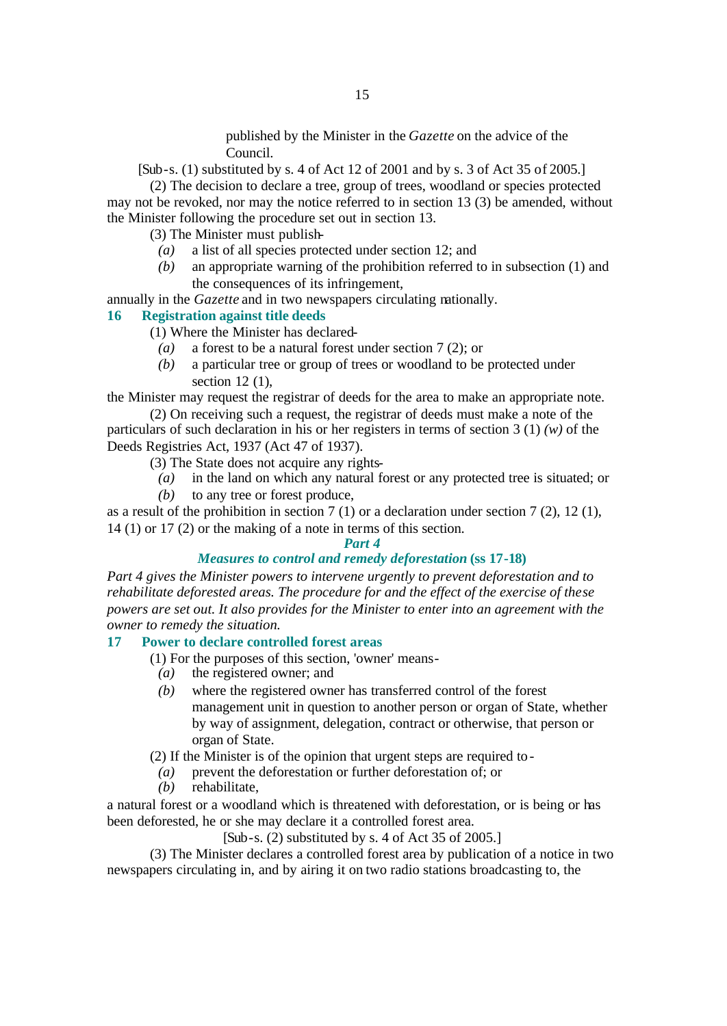published by the Minister in the *Gazette* on the advice of the Council.

[Sub-s. (1) substituted by s. 4 of Act 12 of 2001 and by s. 3 of Act 35 of 2005.]

(2) The decision to declare a tree, group of trees, woodland or species protected may not be revoked, nor may the notice referred to in section 13 (3) be amended, without the Minister following the procedure set out in section 13.

(3) The Minister must publish-

- *(a)* a list of all species protected under section 12; and
- *(b)* an appropriate warning of the prohibition referred to in subsection (1) and the consequences of its infringement,
- annually in the *Gazette* and in two newspapers circulating nationally.

#### **16 Registration against title deeds**

- (1) Where the Minister has declared-
	- *(a)* a forest to be a natural forest under section 7 (2); or
	- *(b)* a particular tree or group of trees or woodland to be protected under section 12 (1).

the Minister may request the registrar of deeds for the area to make an appropriate note.

(2) On receiving such a request, the registrar of deeds must make a note of the particulars of such declaration in his or her registers in terms of section 3 (1) *(w)* of the Deeds Registries Act, 1937 (Act 47 of 1937).

- (3) The State does not acquire any rights-
	- *(a)* in the land on which any natural forest or any protected tree is situated; or
	- *(b)* to any tree or forest produce,

as a result of the prohibition in section 7 (1) or a declaration under section 7 (2), 12 (1), 14 (1) or 17 (2) or the making of a note in terms of this section.

#### *Part 4*

#### *Measures to control and remedy deforestation* **(ss 17-18)**

*Part 4 gives the Minister powers to intervene urgently to prevent deforestation and to rehabilitate deforested areas. The procedure for and the effect of the exercise of these powers are set out. It also provides for the Minister to enter into an agreement with the owner to remedy the situation.* 

#### **17 Power to declare controlled forest areas**

- (1) For the purposes of this section, 'owner' means-
- *(a)* the registered owner; and
- *(b)* where the registered owner has transferred control of the forest management unit in question to another person or organ of State, whether by way of assignment, delegation, contract or otherwise, that person or organ of State.

(2) If the Minister is of the opinion that urgent steps are required to-

- *(a)* prevent the deforestation or further deforestation of; or
- *(b)* rehabilitate,

a natural forest or a woodland which is threatened with deforestation, or is being or has been deforested, he or she may declare it a controlled forest area.

 $[Sub-s. (2)$  substituted by s. 4 of Act 35 of 2005.

(3) The Minister declares a controlled forest area by publication of a notice in two newspapers circulating in, and by airing it on two radio stations broadcasting to, the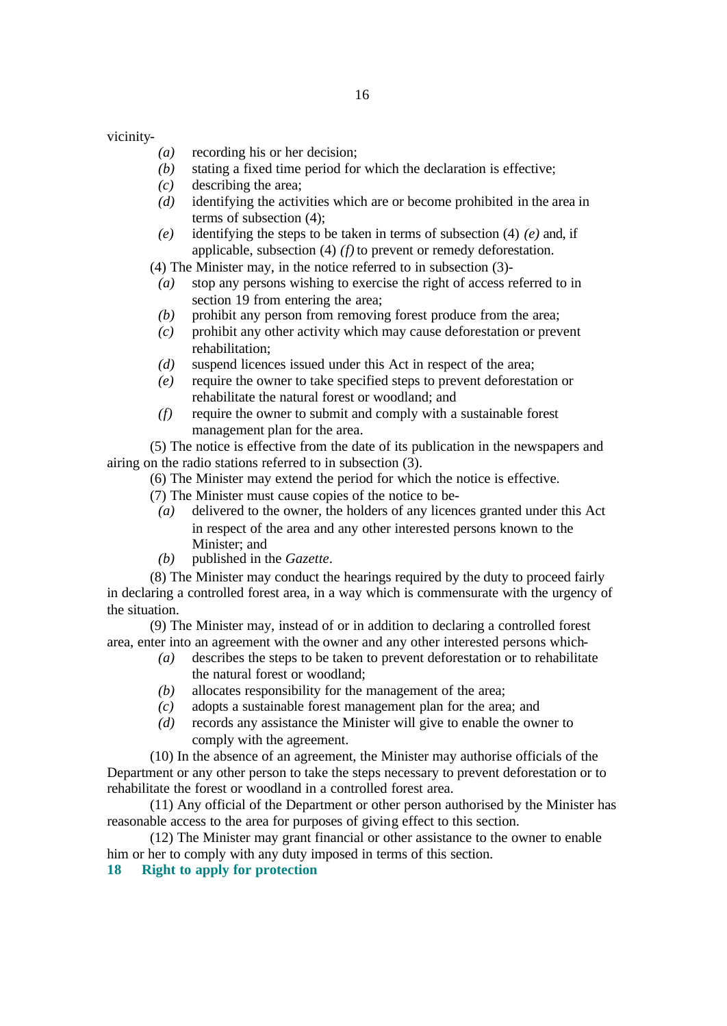vicinity-

- *(a)* recording his or her decision;
- *(b)* stating a fixed time period for which the declaration is effective;
- *(c)* describing the area;
- *(d)* identifying the activities which are or become prohibited in the area in terms of subsection (4);
- *(e)* identifying the steps to be taken in terms of subsection (4) *(e)* and, if applicable, subsection (4) *(f)* to prevent or remedy deforestation.

(4) The Minister may, in the notice referred to in subsection (3)-

- *(a)* stop any persons wishing to exercise the right of access referred to in section 19 from entering the area;
- *(b)* prohibit any person from removing forest produce from the area;
- *(c)* prohibit any other activity which may cause deforestation or prevent rehabilitation;
- *(d)* suspend licences issued under this Act in respect of the area;
- *(e)* require the owner to take specified steps to prevent deforestation or rehabilitate the natural forest or woodland; and
- *(f)* require the owner to submit and comply with a sustainable forest management plan for the area.

(5) The notice is effective from the date of its publication in the newspapers and airing on the radio stations referred to in subsection (3).

(6) The Minister may extend the period for which the notice is effective.

(7) The Minister must cause copies of the notice to be-

- *(a)* delivered to the owner, the holders of any licences granted under this Act in respect of the area and any other interested persons known to the Minister; and
- *(b)* published in the *Gazette*.

(8) The Minister may conduct the hearings required by the duty to proceed fairly in declaring a controlled forest area, in a way which is commensurate with the urgency of the situation.

(9) The Minister may, instead of or in addition to declaring a controlled forest area, enter into an agreement with the owner and any other interested persons which-

- *(a)* describes the steps to be taken to prevent deforestation or to rehabilitate the natural forest or woodland;
- *(b)* allocates responsibility for the management of the area;
- *(c)* adopts a sustainable forest management plan for the area; and
- *(d)* records any assistance the Minister will give to enable the owner to comply with the agreement.

(10) In the absence of an agreement, the Minister may authorise officials of the Department or any other person to take the steps necessary to prevent deforestation or to rehabilitate the forest or woodland in a controlled forest area.

(11) Any official of the Department or other person authorised by the Minister has reasonable access to the area for purposes of giving effect to this section.

(12) The Minister may grant financial or other assistance to the owner to enable him or her to comply with any duty imposed in terms of this section.

**18 Right to apply for protection**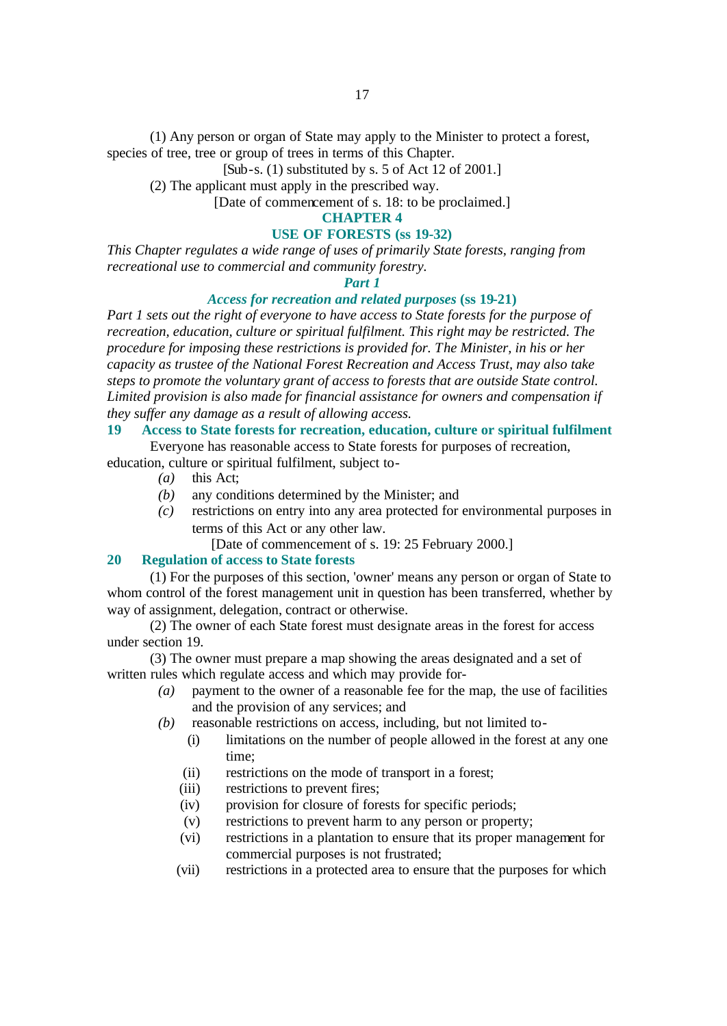(1) Any person or organ of State may apply to the Minister to protect a forest, species of tree, tree or group of trees in terms of this Chapter.

[Sub-s. (1) substituted by s. 5 of Act 12 of 2001.]

(2) The applicant must apply in the prescribed way.

[Date of commencement of s. 18: to be proclaimed.]

### **CHAPTER 4**

#### **USE OF FORESTS (ss 19-32)**

*This Chapter regulates a wide range of uses of primarily State forests, ranging from recreational use to commercial and community forestry.*

#### *Part 1*

#### *Access for recreation and related purposes* **(ss 19-21)**

*Part 1 sets out the right of everyone to have access to State forests for the purpose of recreation, education, culture or spiritual fulfilment. This right may be restricted. The procedure for imposing these restrictions is provided for. The Minister, in his or her capacity as trustee of the National Forest Recreation and Access Trust, may also take steps to promote the voluntary grant of access to forests that are outside State control. Limited provision is also made for financial assistance for owners and compensation if they suffer any damage as a result of allowing access.*

### **19 Access to State forests for recreation, education, culture or spiritual fulfilment**

Everyone has reasonable access to State forests for purposes of recreation,

education, culture or spiritual fulfilment, subject to-

- *(a)* this Act;
- *(b)* any conditions determined by the Minister; and
- *(c)* restrictions on entry into any area protected for environmental purposes in terms of this Act or any other law.

[Date of commencement of s. 19: 25 February 2000.]

#### **20 Regulation of access to State forests**

(1) For the purposes of this section, 'owner' means any person or organ of State to whom control of the forest management unit in question has been transferred, whether by way of assignment, delegation, contract or otherwise.

(2) The owner of each State forest must designate areas in the forest for access under section 19.

(3) The owner must prepare a map showing the areas designated and a set of written rules which regulate access and which may provide for-

- *(a)* payment to the owner of a reasonable fee for the map, the use of facilities and the provision of any services; and
- *(b)* reasonable restrictions on access, including, but not limited to-
	- (i) limitations on the number of people allowed in the forest at any one time;
	- (ii) restrictions on the mode of transport in a forest;
	- (iii) restrictions to prevent fires;
	- (iv) provision for closure of forests for specific periods;
	- (v) restrictions to prevent harm to any person or property;
	- (vi) restrictions in a plantation to ensure that its proper management for commercial purposes is not frustrated;
	- (vii) restrictions in a protected area to ensure that the purposes for which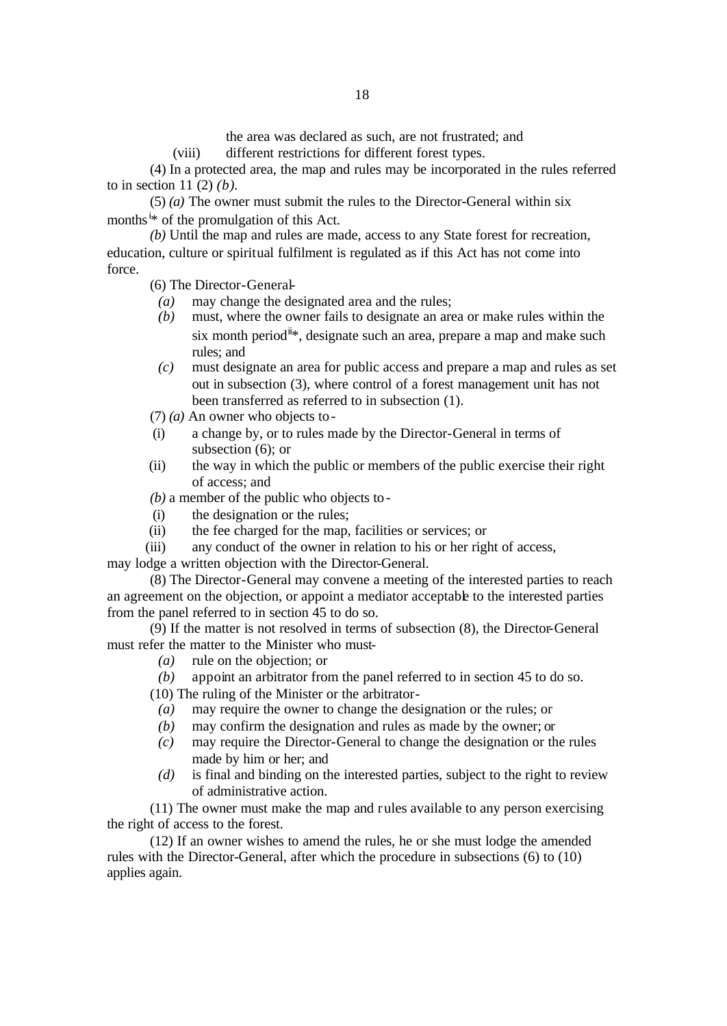the area was declared as such, are not frustrated; and

(viii) different restrictions for different forest types.

(4) In a protected area, the map and rules may be incorporated in the rules referred to in section 11 (2) *(b)*.

(5) *(a)* The owner must submit the rules to the Director-General within six months<sup>i\*</sup> of the promulgation of this Act.

*(b)* Until the map and rules are made, access to any State forest for recreation, education, culture or spiritual fulfilment is regulated as if this Act has not come into force.

(6) The Director-General-

- *(a)* may change the designated area and the rules;
- *(b)* must, where the owner fails to designate an area or make rules within the six month period<sup>it</sup>, designate such an area, prepare a map and make such rules; and
- *(c)* must designate an area for public access and prepare a map and rules as set out in subsection (3), where control of a forest management unit has not been transferred as referred to in subsection (1).

(7) *(a)* An owner who objects to-

- (i) a change by, or to rules made by the Director-General in terms of subsection (6); or
- (ii) the way in which the public or members of the public exercise their right of access; and

*(b)* a member of the public who objects to-

- (i) the designation or the rules;
- (ii) the fee charged for the map, facilities or services; or
- (iii) any conduct of the owner in relation to his or her right of access,

may lodge a written objection with the Director-General.

(8) The Director-General may convene a meeting of the interested parties to reach an agreement on the objection, or appoint a mediator acceptable to the interested parties from the panel referred to in section 45 to do so.

(9) If the matter is not resolved in terms of subsection (8), the Director-General must refer the matter to the Minister who must-

- *(a)* rule on the objection; or
- *(b)* appoint an arbitrator from the panel referred to in section 45 to do so.
- (10) The ruling of the Minister or the arbitrator-
- *(a)* may require the owner to change the designation or the rules; or
- *(b)* may confirm the designation and rules as made by the owner; or
- *(c)* may require the Director-General to change the designation or the rules made by him or her; and
- *(d)* is final and binding on the interested parties, subject to the right to review of administrative action.

(11) The owner must make the map and rules available to any person exercising the right of access to the forest.

(12) If an owner wishes to amend the rules, he or she must lodge the amended rules with the Director-General, after which the procedure in subsections (6) to (10) applies again.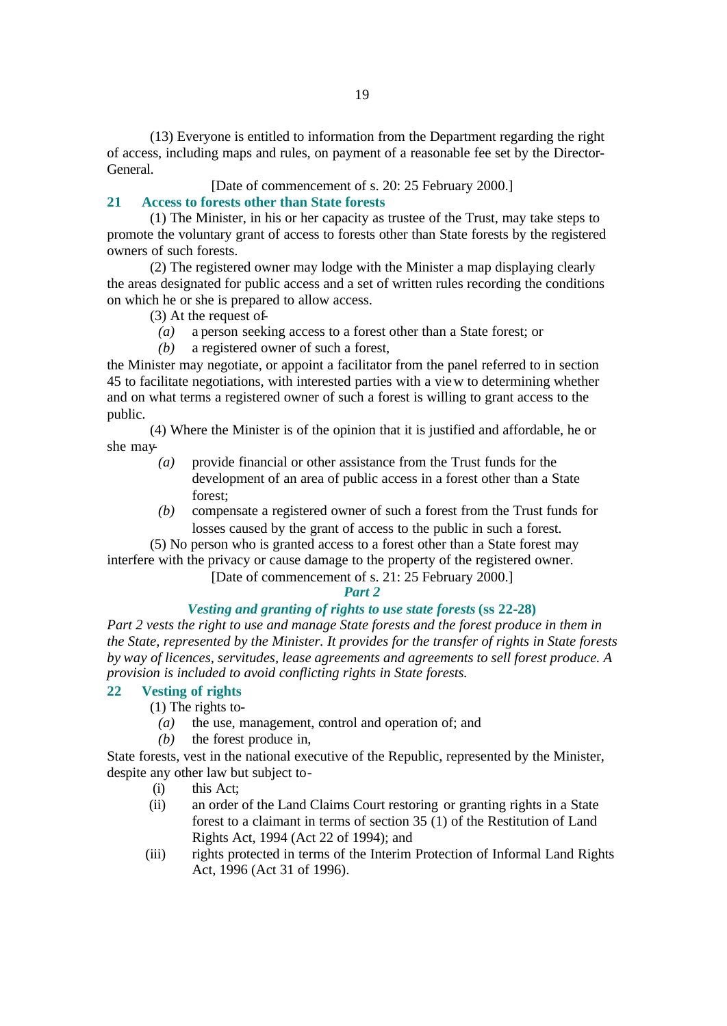(13) Everyone is entitled to information from the Department regarding the right of access, including maps and rules, on payment of a reasonable fee set by the Director-General.

[Date of commencement of s. 20: 25 February 2000.]

#### **21 Access to forests other than State forests**

(1) The Minister, in his or her capacity as trustee of the Trust, may take steps to promote the voluntary grant of access to forests other than State forests by the registered owners of such forests.

(2) The registered owner may lodge with the Minister a map displaying clearly the areas designated for public access and a set of written rules recording the conditions on which he or she is prepared to allow access.

- (3) At the request of-
	- *(a)* a person seeking access to a forest other than a State forest; or
	- *(b)* a registered owner of such a forest,

the Minister may negotiate, or appoint a facilitator from the panel referred to in section 45 to facilitate negotiations, with interested parties with a view to determining whether and on what terms a registered owner of such a forest is willing to grant access to the public.

(4) Where the Minister is of the opinion that it is justified and affordable, he or she may-

- *(a)* provide financial or other assistance from the Trust funds for the development of an area of public access in a forest other than a State forest;
- *(b)* compensate a registered owner of such a forest from the Trust funds for losses caused by the grant of access to the public in such a forest.

(5) No person who is granted access to a forest other than a State forest may interfere with the privacy or cause damage to the property of the registered owner.

[Date of commencement of s. 21: 25 February 2000.]

#### *Part 2*

#### *Vesting and granting of rights to use state forests* **(ss 22-28)**

*Part 2 vests the right to use and manage State forests and the forest produce in them in the State, represented by the Minister. It provides for the transfer of rights in State forests by way of licences, servitudes, lease agreements and agreements to sell forest produce. A provision is included to avoid conflicting rights in State forests.*

#### **22 Vesting of rights**

(1) The rights to-

- *(a)* the use, management, control and operation of; and
- *(b)* the forest produce in,

State forests, vest in the national executive of the Republic, represented by the Minister, despite any other law but subject to-

- (i) this Act;
- (ii) an order of the Land Claims Court restoring or granting rights in a State forest to a claimant in terms of section 35 (1) of the Restitution of Land Rights Act, 1994 (Act 22 of 1994); and
- (iii) rights protected in terms of the Interim Protection of Informal Land Rights Act, 1996 (Act 31 of 1996).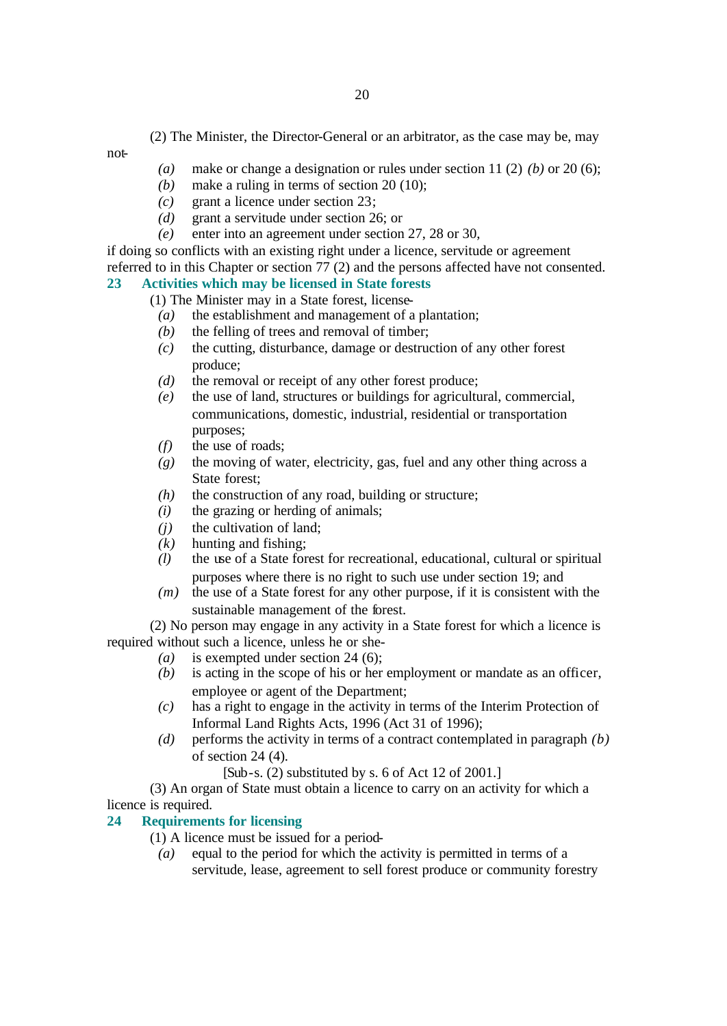(2) The Minister, the Director-General or an arbitrator, as the case may be, may

not-

- *(a)* make or change a designation or rules under section 11 (2) *(b)* or 20 (6);
- *(b)* make a ruling in terms of section 20 (10);
- *(c)* grant a licence under section 23;
- *(d)* grant a servitude under section 26; or
- *(e)* enter into an agreement under section 27, 28 or 30,

if doing so conflicts with an existing right under a licence, servitude or agreement referred to in this Chapter or section 77 (2) and the persons affected have not consented.

#### **23 Activities which may be licensed in State forests**

(1) The Minister may in a State forest, license-

- *(a)* the establishment and management of a plantation;
- *(b)* the felling of trees and removal of timber;
- *(c)* the cutting, disturbance, damage or destruction of any other forest produce;
- *(d)* the removal or receipt of any other forest produce;
- *(e)* the use of land, structures or buildings for agricultural, commercial, communications, domestic, industrial, residential or transportation purposes;
- *(f)* the use of roads;
- *(g)* the moving of water, electricity, gas, fuel and any other thing across a State forest;
- *(h)* the construction of any road, building or structure;
- *(i)* the grazing or herding of animals;
- *(j)* the cultivation of land;
- *(k)* hunting and fishing;
- *(l)* the use of a State forest for recreational, educational, cultural or spiritual purposes where there is no right to such use under section 19; and
- *(m)* the use of a State forest for any other purpose, if it is consistent with the sustainable management of the forest.

(2) No person may engage in any activity in a State forest for which a licence is required without such a licence, unless he or she-

- *(a)* is exempted under section 24 (6);
- *(b)* is acting in the scope of his or her employment or mandate as an officer, employee or agent of the Department;
- *(c)* has a right to engage in the activity in terms of the Interim Protection of Informal Land Rights Acts, 1996 (Act 31 of 1996);
- *(d)* performs the activity in terms of a contract contemplated in paragraph *(b)* of section 24 (4).

 $[Sub-s. (2)$  substituted by s. 6 of Act 12 of 2001.

(3) An organ of State must obtain a licence to carry on an activity for which a licence is required.

### **24 Requirements for licensing**

- (1) A licence must be issued for a period-
	- *(a)* equal to the period for which the activity is permitted in terms of a servitude, lease, agreement to sell forest produce or community forestry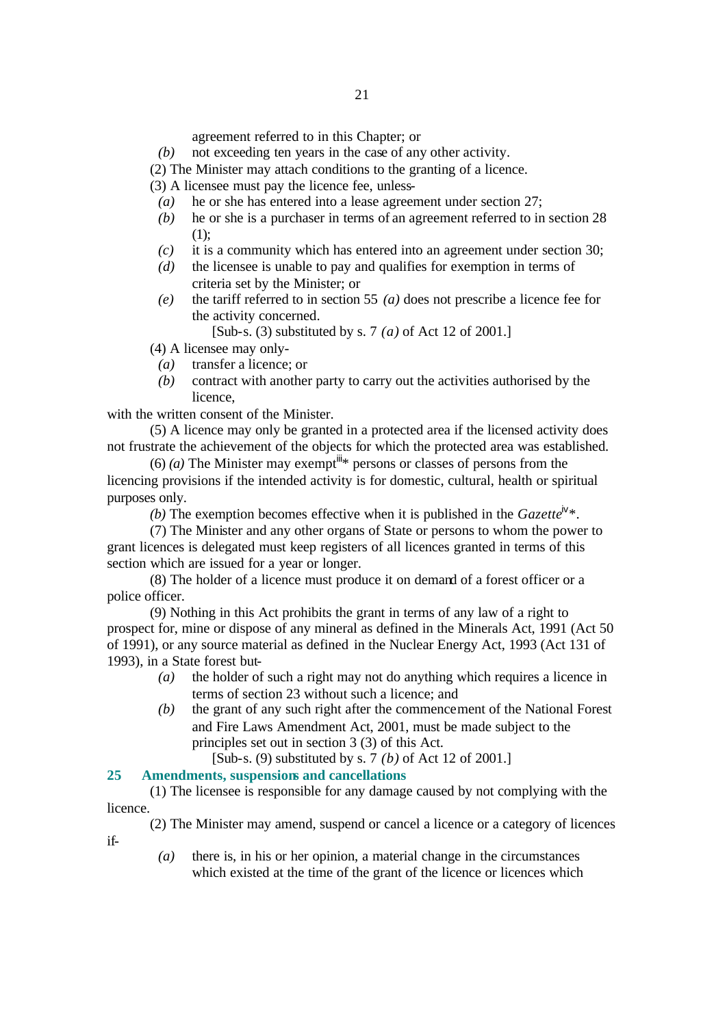agreement referred to in this Chapter; or

*(b)* not exceeding ten years in the case of any other activity.

(2) The Minister may attach conditions to the granting of a licence.

(3) A licensee must pay the licence fee, unless-

- *(a)* he or she has entered into a lease agreement under section 27;
- *(b)* he or she is a purchaser in terms of an agreement referred to in section 28 (1);
- *(c)* it is a community which has entered into an agreement under section 30;
- *(d)* the licensee is unable to pay and qualifies for exemption in terms of criteria set by the Minister; or
- *(e)* the tariff referred to in section 55 *(a)* does not prescribe a licence fee for the activity concerned.

[Sub-s. (3) substituted by s. 7 *(a)* of Act 12 of 2001.]

(4) A licensee may only-

- *(a)* transfer a licence; or
- *(b)* contract with another party to carry out the activities authorised by the licence,

with the written consent of the Minister.

(5) A licence may only be granted in a protected area if the licensed activity does not frustrate the achievement of the objects for which the protected area was established.

(6) *(a)* The Minister may exempt<sup>in</sup>\* persons or classes of persons from the licencing provisions if the intended activity is for domestic, cultural, health or spiritual purposes only.

*(b)* The exemption becomes effective when it is published in the *Gazette*<sup> $iv*$ </sup>.

(7) The Minister and any other organs of State or persons to whom the power to grant licences is delegated must keep registers of all licences granted in terms of this section which are issued for a year or longer.

(8) The holder of a licence must produce it on demand of a forest officer or a police officer.

(9) Nothing in this Act prohibits the grant in terms of any law of a right to prospect for, mine or dispose of any mineral as defined in the Minerals Act, 1991 (Act 50 of 1991), or any source material as defined in the Nuclear Energy Act, 1993 (Act 131 of 1993), in a State forest but-

- *(a)* the holder of such a right may not do anything which requires a licence in terms of section 23 without such a licence; and
- *(b)* the grant of any such right after the commencement of the National Forest and Fire Laws Amendment Act, 2001, must be made subject to the principles set out in section 3 (3) of this Act.

[Sub-s. (9) substituted by s. 7 *(b)* of Act 12 of 2001.]

#### **25 Amendments, suspensions and cancellations**

if-

(1) The licensee is responsible for any damage caused by not complying with the licence.

(2) The Minister may amend, suspend or cancel a licence or a category of licences

*(a)* there is, in his or her opinion, a material change in the circumstances which existed at the time of the grant of the licence or licences which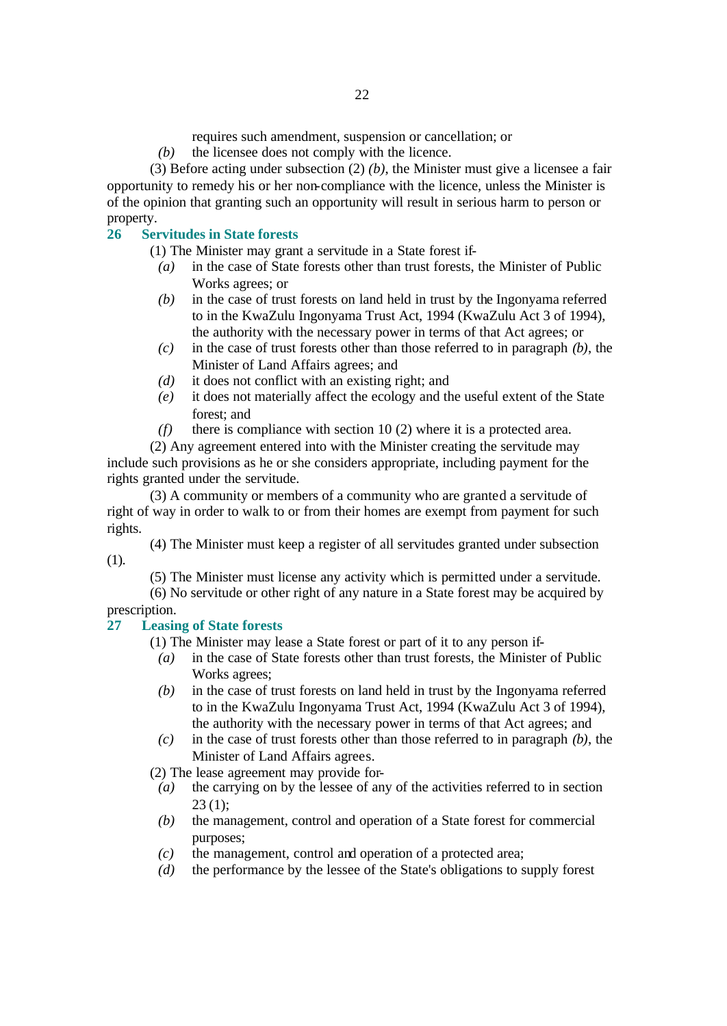requires such amendment, suspension or cancellation; or

*(b)* the licensee does not comply with the licence.

(3) Before acting under subsection (2) *(b)*, the Minister must give a licensee a fair opportunity to remedy his or her non-compliance with the licence, unless the Minister is of the opinion that granting such an opportunity will result in serious harm to person or property.

### **26 Servitudes in State forests**

(1) The Minister may grant a servitude in a State forest if-

- *(a)* in the case of State forests other than trust forests, the Minister of Public Works agrees; or
- *(b)* in the case of trust forests on land held in trust by the Ingonyama referred to in the KwaZulu Ingonyama Trust Act, 1994 (KwaZulu Act 3 of 1994), the authority with the necessary power in terms of that Act agrees; or
- *(c)* in the case of trust forests other than those referred to in paragraph *(b)*, the Minister of Land Affairs agrees; and
- *(d)* it does not conflict with an existing right; and
- *(e)* it does not materially affect the ecology and the useful extent of the State forest; and
- *(f)* there is compliance with section 10 (2) where it is a protected area.

(2) Any agreement entered into with the Minister creating the servitude may include such provisions as he or she considers appropriate, including payment for the rights granted under the servitude.

(3) A community or members of a community who are granted a servitude of right of way in order to walk to or from their homes are exempt from payment for such rights.

(4) The Minister must keep a register of all servitudes granted under subsection (1).

(5) The Minister must license any activity which is permitted under a servitude.

(6) No servitude or other right of any nature in a State forest may be acquired by prescription.

### **27 Leasing of State forests**

(1) The Minister may lease a State forest or part of it to any person if-

- *(a)* in the case of State forests other than trust forests, the Minister of Public Works agrees;
- *(b)* in the case of trust forests on land held in trust by the Ingonyama referred to in the KwaZulu Ingonyama Trust Act, 1994 (KwaZulu Act 3 of 1994), the authority with the necessary power in terms of that Act agrees; and
- *(c)* in the case of trust forests other than those referred to in paragraph *(b)*, the Minister of Land Affairs agrees.

(2) The lease agreement may provide for-

- *(a)* the carrying on by the lessee of any of the activities referred to in section  $23(1)$ ;
- *(b)* the management, control and operation of a State forest for commercial purposes;
- *(c)* the management, control and operation of a protected area;
- *(d)* the performance by the lessee of the State's obligations to supply forest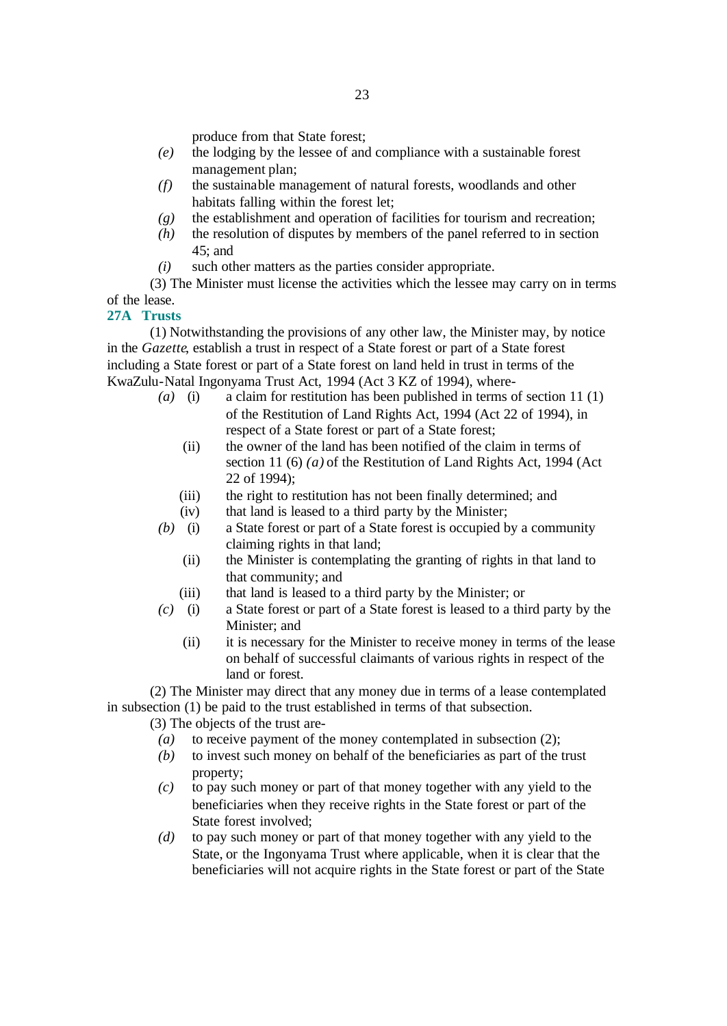produce from that State forest;

- *(e)* the lodging by the lessee of and compliance with a sustainable forest management plan;
- *(f)* the sustainable management of natural forests, woodlands and other habitats falling within the forest let;
- *(g)* the establishment and operation of facilities for tourism and recreation;
- *(h)* the resolution of disputes by members of the panel referred to in section 45; and
- *(i)* such other matters as the parties consider appropriate.

(3) The Minister must license the activities which the lessee may carry on in terms of the lease.

### **27A Trusts**

(1) Notwithstanding the provisions of any other law, the Minister may, by notice in the *Gazette*, establish a trust in respect of a State forest or part of a State forest including a State forest or part of a State forest on land held in trust in terms of the KwaZulu-Natal Ingonyama Trust Act, 1994 (Act 3 KZ of 1994), where-

- *(a)* (i) a claim for restitution has been published in terms of section 11 (1) of the Restitution of Land Rights Act, 1994 (Act 22 of 1994), in respect of a State forest or part of a State forest;
	- (ii) the owner of the land has been notified of the claim in terms of section 11 (6) *(a)* of the Restitution of Land Rights Act, 1994 (Act 22 of 1994);
	- (iii) the right to restitution has not been finally determined; and
	- (iv) that land is leased to a third party by the Minister;
- *(b)* (i) a State forest or part of a State forest is occupied by a community claiming rights in that land;
	- (ii) the Minister is contemplating the granting of rights in that land to that community; and
	- (iii) that land is leased to a third party by the Minister; or
- *(c)* (i) a State forest or part of a State forest is leased to a third party by the Minister; and
	- (ii) it is necessary for the Minister to receive money in terms of the lease on behalf of successful claimants of various rights in respect of the land or forest.

(2) The Minister may direct that any money due in terms of a lease contemplated in subsection (1) be paid to the trust established in terms of that subsection.

(3) The objects of the trust are-

- *(a)* to receive payment of the money contemplated in subsection (2);
- *(b)* to invest such money on behalf of the beneficiaries as part of the trust property;
- *(c)* to pay such money or part of that money together with any yield to the beneficiaries when they receive rights in the State forest or part of the State forest involved;
- *(d)* to pay such money or part of that money together with any yield to the State, or the Ingonyama Trust where applicable, when it is clear that the beneficiaries will not acquire rights in the State forest or part of the State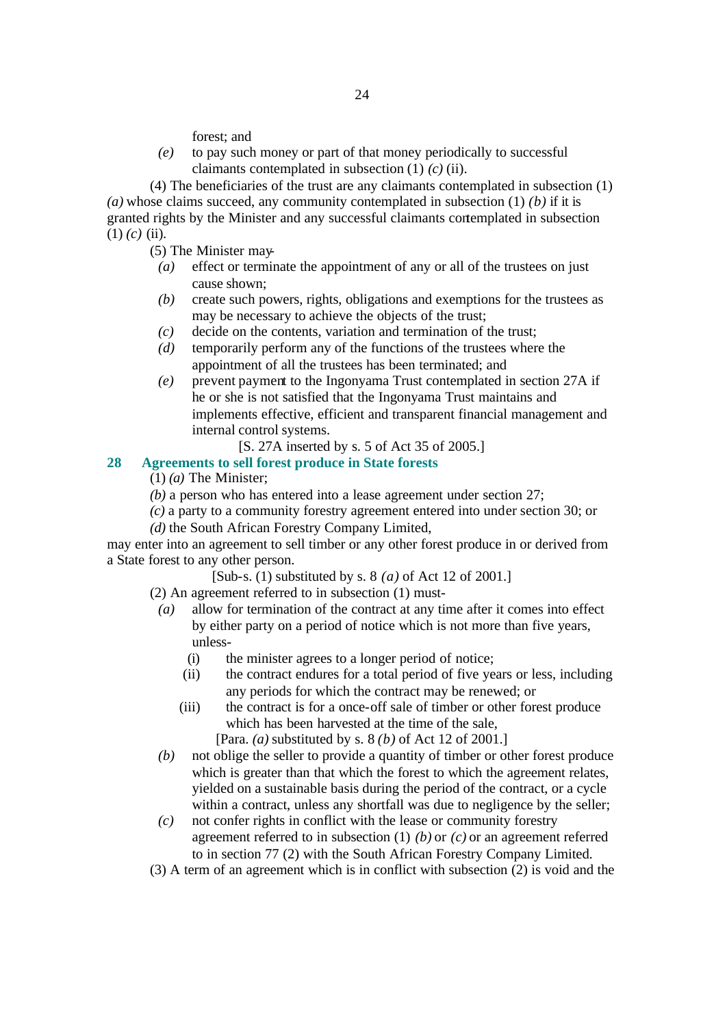forest; and

*(e)* to pay such money or part of that money periodically to successful claimants contemplated in subsection (1) *(c)* (ii).

(4) The beneficiaries of the trust are any claimants contemplated in subsection (1) *(a)* whose claims succeed, any community contemplated in subsection (1) *(b)* if it is granted rights by the Minister and any successful claimants contemplated in subsection  $(1)$   $(c)$   $(ii)$ .

(5) The Minister may-

- *(a)* effect or terminate the appointment of any or all of the trustees on just cause shown;
- *(b)* create such powers, rights, obligations and exemptions for the trustees as may be necessary to achieve the objects of the trust;
- *(c)* decide on the contents, variation and termination of the trust;
- *(d)* temporarily perform any of the functions of the trustees where the appointment of all the trustees has been terminated; and
- *(e)* prevent payment to the Ingonyama Trust contemplated in section 27A if he or she is not satisfied that the Ingonyama Trust maintains and implements effective, efficient and transparent financial management and internal control systems.
	- [S. 27A inserted by s. 5 of Act 35 of 2005.]

### **28 Agreements to sell forest produce in State forests**

(1) *(a)* The Minister;

*(b)* a person who has entered into a lease agreement under section 27;

*(c)* a party to a community forestry agreement entered into under section 30; or

*(d)* the South African Forestry Company Limited,

may enter into an agreement to sell timber or any other forest produce in or derived from a State forest to any other person.

[Sub-s. (1) substituted by s. 8 *(a)* of Act 12 of 2001.]

(2) An agreement referred to in subsection (1) must-

- *(a)* allow for termination of the contract at any time after it comes into effect by either party on a period of notice which is not more than five years, unless-
	- (i) the minister agrees to a longer period of notice;
	- (ii) the contract endures for a total period of five years or less, including any periods for which the contract may be renewed; or
	- (iii) the contract is for a once-off sale of timber or other forest produce which has been harvested at the time of the sale,

[Para. *(a)* substituted by s. 8 *(b)* of Act 12 of 2001.]

- *(b)* not oblige the seller to provide a quantity of timber or other forest produce which is greater than that which the forest to which the agreement relates, yielded on a sustainable basis during the period of the contract, or a cycle within a contract, unless any shortfall was due to negligence by the seller;
- *(c)* not confer rights in conflict with the lease or community forestry agreement referred to in subsection (1) *(b)* or *(c)* or an agreement referred to in section 77 (2) with the South African Forestry Company Limited.
- (3) A term of an agreement which is in conflict with subsection (2) is void and the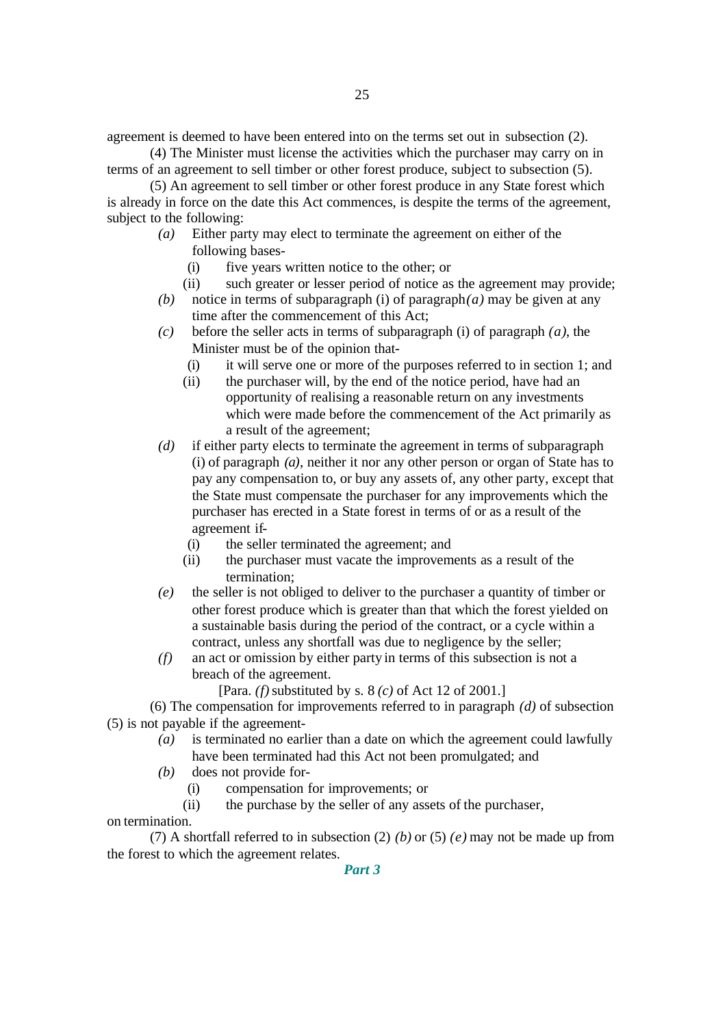agreement is deemed to have been entered into on the terms set out in subsection (2).

(4) The Minister must license the activities which the purchaser may carry on in terms of an agreement to sell timber or other forest produce, subject to subsection (5).

(5) An agreement to sell timber or other forest produce in any State forest which is already in force on the date this Act commences, is despite the terms of the agreement, subject to the following:

- *(a)* Either party may elect to terminate the agreement on either of the following bases-
	- (i) five years written notice to the other; or
	- (ii) such greater or lesser period of notice as the agreement may provide;
- *(b)* notice in terms of subparagraph (i) of paragraph*(a)* may be given at any time after the commencement of this Act;
- *(c)* before the seller acts in terms of subparagraph (i) of paragraph *(a)*, the Minister must be of the opinion that-
	- (i) it will serve one or more of the purposes referred to in section 1; and
	- (ii) the purchaser will, by the end of the notice period, have had an opportunity of realising a reasonable return on any investments which were made before the commencement of the Act primarily as a result of the agreement;
- *(d)* if either party elects to terminate the agreement in terms of subparagraph (i) of paragraph *(a)*, neither it nor any other person or organ of State has to pay any compensation to, or buy any assets of, any other party, except that the State must compensate the purchaser for any improvements which the purchaser has erected in a State forest in terms of or as a result of the agreement if-
	- (i) the seller terminated the agreement; and
	- (ii) the purchaser must vacate the improvements as a result of the termination;
- *(e)* the seller is not obliged to deliver to the purchaser a quantity of timber or other forest produce which is greater than that which the forest yielded on a sustainable basis during the period of the contract, or a cycle within a contract, unless any shortfall was due to negligence by the seller;
- *(f)* an act or omission by either party in terms of this subsection is not a breach of the agreement.

[Para. *(f)* substituted by s. 8 *(c)* of Act 12 of 2001.]

(6) The compensation for improvements referred to in paragraph *(d)* of subsection (5) is not payable if the agreement-

- *(a)* is terminated no earlier than a date on which the agreement could lawfully have been terminated had this Act not been promulgated; and
- *(b)* does not provide for-
	- (i) compensation for improvements; or
	- (ii) the purchase by the seller of any assets of the purchaser,

#### on termination.

(7) A shortfall referred to in subsection (2) *(b)* or (5) *(e)* may not be made up from the forest to which the agreement relates.

*Part 3*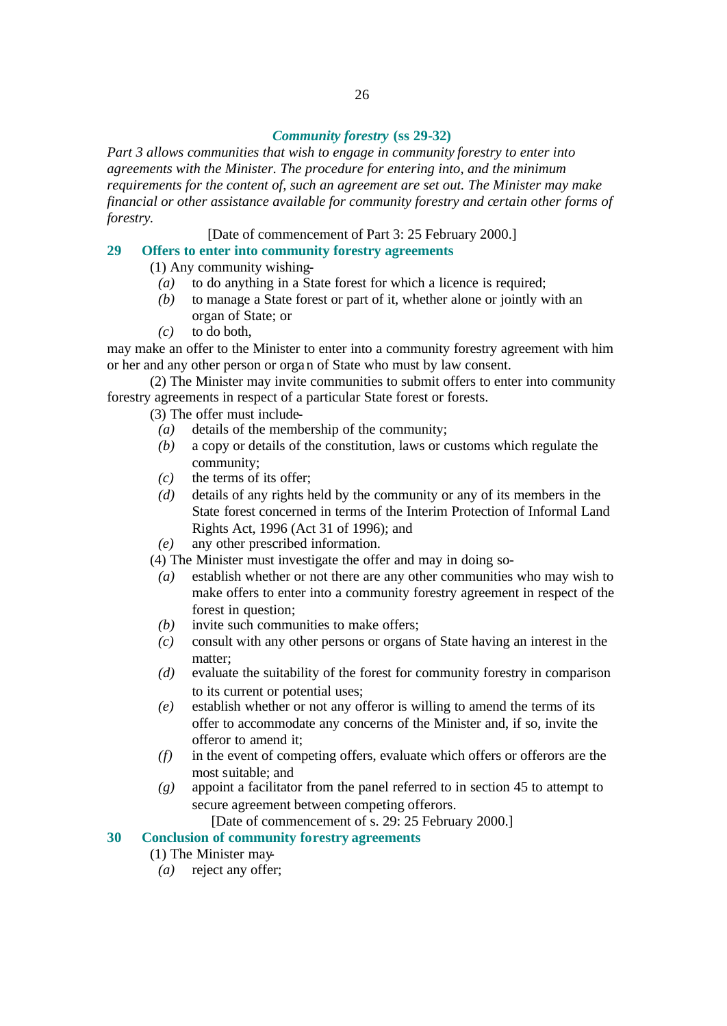#### *Community forestry* **(ss 29-32)**

*Part 3 allows communities that wish to engage in community forestry to enter into agreements with the Minister. The procedure for entering into, and the minimum requirements for the content of, such an agreement are set out. The Minister may make financial or other assistance available for community forestry and certain other forms of forestry.*

[Date of commencement of Part 3: 25 February 2000.]

### **29 Offers to enter into community forestry agreements**

(1) Any community wishing-

- *(a)* to do anything in a State forest for which a licence is required;
- *(b)* to manage a State forest or part of it, whether alone or jointly with an organ of State; or
- *(c)* to do both,

may make an offer to the Minister to enter into a community forestry agreement with him or her and any other person or organ of State who must by law consent.

(2) The Minister may invite communities to submit offers to enter into community forestry agreements in respect of a particular State forest or forests.

(3) The offer must include-

- *(a)* details of the membership of the community;
- *(b)* a copy or details of the constitution, laws or customs which regulate the community;
- *(c)* the terms of its offer;
- *(d)* details of any rights held by the community or any of its members in the State forest concerned in terms of the Interim Protection of Informal Land Rights Act, 1996 (Act 31 of 1996); and
- *(e)* any other prescribed information.

(4) The Minister must investigate the offer and may in doing so-

- *(a)* establish whether or not there are any other communities who may wish to make offers to enter into a community forestry agreement in respect of the forest in question;
- *(b)* invite such communities to make offers;
- *(c)* consult with any other persons or organs of State having an interest in the matter:
- *(d)* evaluate the suitability of the forest for community forestry in comparison to its current or potential uses;
- *(e)* establish whether or not any offeror is willing to amend the terms of its offer to accommodate any concerns of the Minister and, if so, invite the offeror to amend it;
- *(f)* in the event of competing offers, evaluate which offers or offerors are the most suitable; and
- *(g)* appoint a facilitator from the panel referred to in section 45 to attempt to secure agreement between competing offerors.

[Date of commencement of s. 29: 25 February 2000.]

#### **30 Conclusion of community forestry agreements**

(1) The Minister may-

*(a)* reject any offer;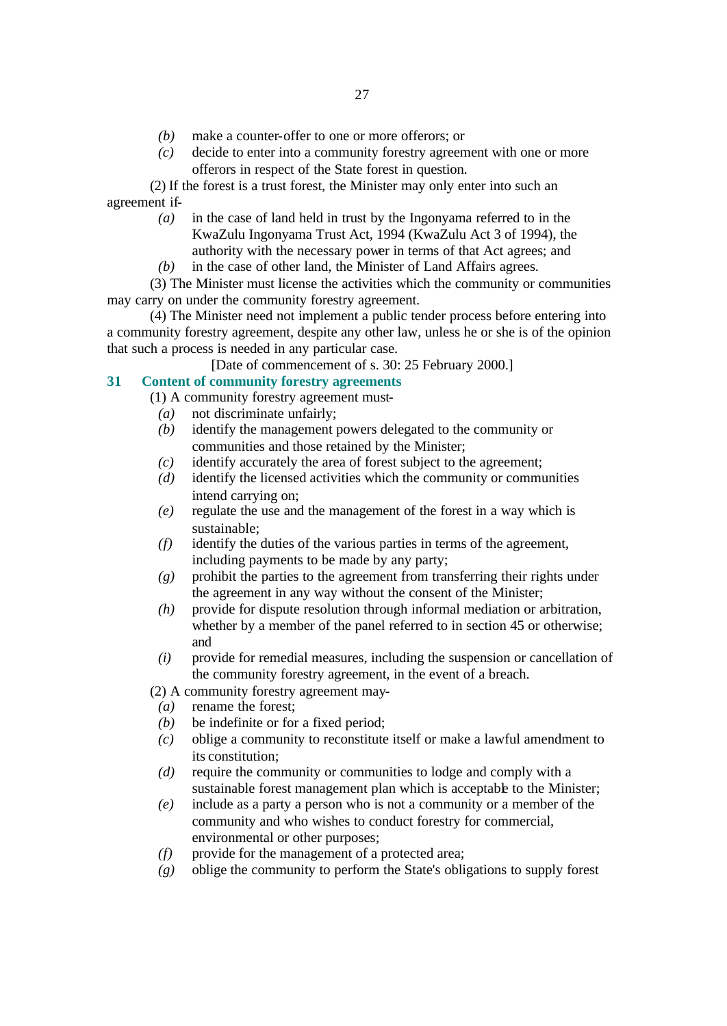- *(b)* make a counter-offer to one or more offerors; or
- *(c)* decide to enter into a community forestry agreement with one or more offerors in respect of the State forest in question.

(2) If the forest is a trust forest, the Minister may only enter into such an agreement if-

- *(a)* in the case of land held in trust by the Ingonyama referred to in the KwaZulu Ingonyama Trust Act, 1994 (KwaZulu Act 3 of 1994), the authority with the necessary power in terms of that Act agrees; and
- *(b)* in the case of other land, the Minister of Land Affairs agrees.

(3) The Minister must license the activities which the community or communities may carry on under the community forestry agreement.

(4) The Minister need not implement a public tender process before entering into a community forestry agreement, despite any other law, unless he or she is of the opinion that such a process is needed in any particular case.

[Date of commencement of s. 30: 25 February 2000.]

### **31 Content of community forestry agreements**

- (1) A community forestry agreement must-
	- *(a)* not discriminate unfairly;
	- *(b)* identify the management powers delegated to the community or communities and those retained by the Minister;
	- *(c)* identify accurately the area of forest subject to the agreement;
	- *(d)* identify the licensed activities which the community or communities intend carrying on;
	- *(e)* regulate the use and the management of the forest in a way which is sustainable;
	- *(f)* identify the duties of the various parties in terms of the agreement, including payments to be made by any party;
	- *(g)* prohibit the parties to the agreement from transferring their rights under the agreement in any way without the consent of the Minister;
	- *(h)* provide for dispute resolution through informal mediation or arbitration, whether by a member of the panel referred to in section 45 or otherwise; and
	- *(i)* provide for remedial measures, including the suspension or cancellation of the community forestry agreement, in the event of a breach.

(2) A community forestry agreement may-

- *(a)* rename the forest;
- *(b)* be indefinite or for a fixed period;
- *(c)* oblige a community to reconstitute itself or make a lawful amendment to its constitution;
- *(d)* require the community or communities to lodge and comply with a sustainable forest management plan which is acceptable to the Minister;
- *(e)* include as a party a person who is not a community or a member of the community and who wishes to conduct forestry for commercial, environmental or other purposes;
- *(f)* provide for the management of a protected area;
- *(g)* oblige the community to perform the State's obligations to supply forest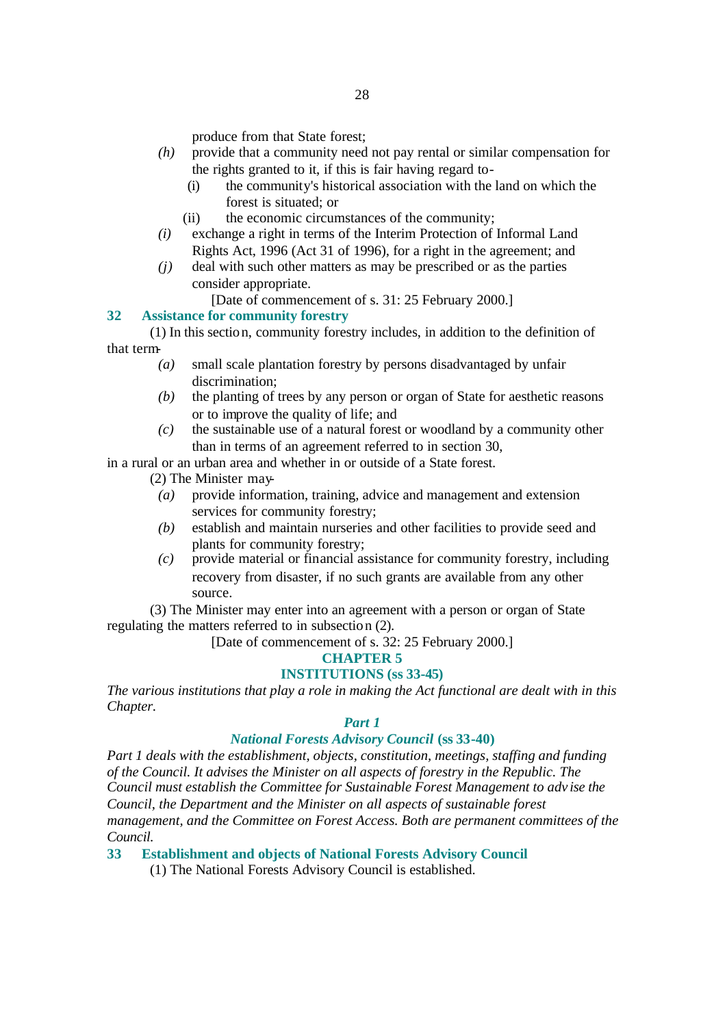produce from that State forest;

- *(h)* provide that a community need not pay rental or similar compensation for the rights granted to it, if this is fair having regard to-
	- (i) the community's historical association with the land on which the forest is situated; or
	- (ii) the economic circumstances of the community;
- *(i)* exchange a right in terms of the Interim Protection of Informal Land Rights Act, 1996 (Act 31 of 1996), for a right in the agreement; and
- *(j)* deal with such other matters as may be prescribed or as the parties consider appropriate.
	- [Date of commencement of s. 31: 25 February 2000.]

#### **32 Assistance for community forestry**

(1) In this section, community forestry includes, in addition to the definition of that term-

- *(a)* small scale plantation forestry by persons disadvantaged by unfair discrimination;
- *(b)* the planting of trees by any person or organ of State for aesthetic reasons or to improve the quality of life; and
- *(c)* the sustainable use of a natural forest or woodland by a community other than in terms of an agreement referred to in section 30,

in a rural or an urban area and whether in or outside of a State forest.

- (2) The Minister may-
- *(a)* provide information, training, advice and management and extension services for community forestry;
- *(b)* establish and maintain nurseries and other facilities to provide seed and plants for community forestry;
- *(c)* provide material or financial assistance for community forestry, including recovery from disaster, if no such grants are available from any other source.

(3) The Minister may enter into an agreement with a person or organ of State regulating the matters referred to in subsection (2).

[Date of commencement of s. 32: 25 February 2000.]

### **CHAPTER 5**

### **INSTITUTIONS (ss 33-45)**

*The various institutions that play a role in making the Act functional are dealt with in this Chapter.*

#### *Part 1*

#### *National Forests Advisory Council* **(ss 33-40)**

*Part 1 deals with the establishment, objects, constitution, meetings, staffing and funding of the Council. It advises the Minister on all aspects of forestry in the Republic. The Council must establish the Committee for Sustainable Forest Management to adv ise the Council, the Department and the Minister on all aspects of sustainable forest management, and the Committee on Forest Access. Both are permanent committees of the Council.*

#### **33 Establishment and objects of National Forests Advisory Council**

(1) The National Forests Advisory Council is established.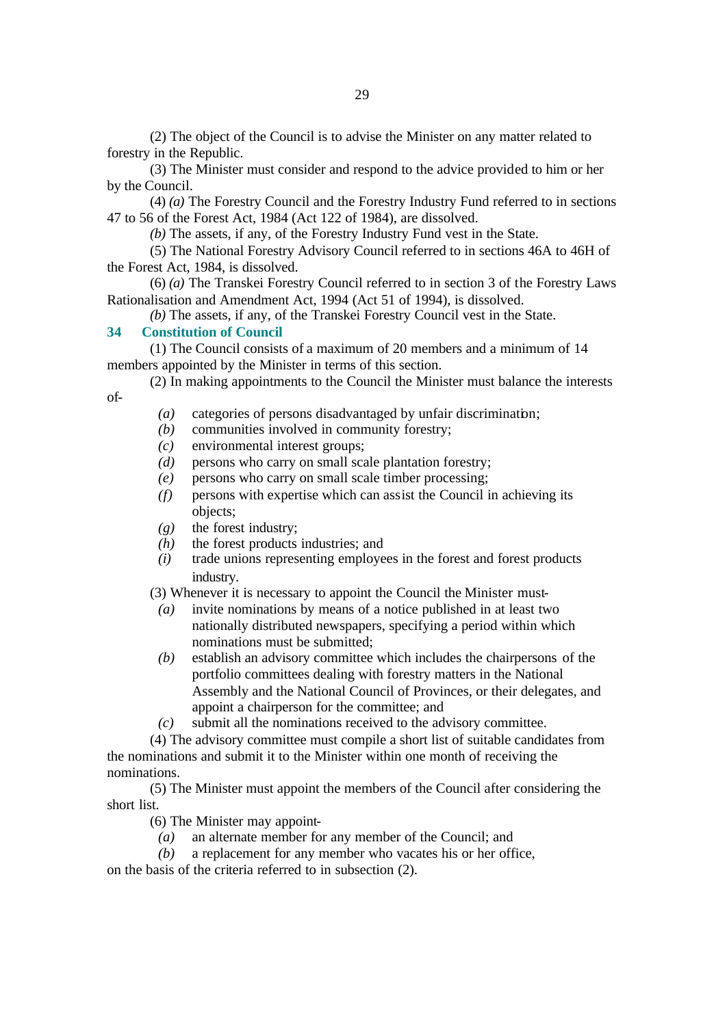(2) The object of the Council is to advise the Minister on any matter related to forestry in the Republic.

(3) The Minister must consider and respond to the advice provided to him or her by the Council.

(4) *(a)* The Forestry Council and the Forestry Industry Fund referred to in sections 47 to 56 of the Forest Act, 1984 (Act 122 of 1984), are dissolved.

*(b)* The assets, if any, of the Forestry Industry Fund vest in the State.

(5) The National Forestry Advisory Council referred to in sections 46A to 46H of the Forest Act, 1984, is dissolved.

(6) *(a)* The Transkei Forestry Council referred to in section 3 of the Forestry Laws Rationalisation and Amendment Act, 1994 (Act 51 of 1994), is dissolved.

*(b)* The assets, if any, of the Transkei Forestry Council vest in the State.

#### **34 Constitution of Council**

(1) The Council consists of a maximum of 20 members and a minimum of 14 members appointed by the Minister in terms of this section.

(2) In making appointments to the Council the Minister must balance the interests of-

- *(a)* categories of persons disadvantaged by unfair discrimination;
- *(b)* communities involved in community forestry;
- *(c)* environmental interest groups;
- *(d)* persons who carry on small scale plantation forestry;
- *(e)* persons who carry on small scale timber processing;
- *(f)* persons with expertise which can assist the Council in achieving its objects;
- *(g)* the forest industry;
- *(h)* the forest products industries; and
- *(i)* trade unions representing employees in the forest and forest products industry.
- (3) Whenever it is necessary to appoint the Council the Minister must-
- *(a)* invite nominations by means of a notice published in at least two nationally distributed newspapers, specifying a period within which nominations must be submitted;
- *(b)* establish an advisory committee which includes the chairpersons of the portfolio committees dealing with forestry matters in the National Assembly and the National Council of Provinces, or their delegates, and appoint a chairperson for the committee; and
- *(c)* submit all the nominations received to the advisory committee.

(4) The advisory committee must compile a short list of suitable candidates from the nominations and submit it to the Minister within one month of receiving the nominations.

(5) The Minister must appoint the members of the Council after considering the short list.

- (6) The Minister may appoint-
	- *(a)* an alternate member for any member of the Council; and
- *(b)* a replacement for any member who vacates his or her office,

on the basis of the criteria referred to in subsection (2).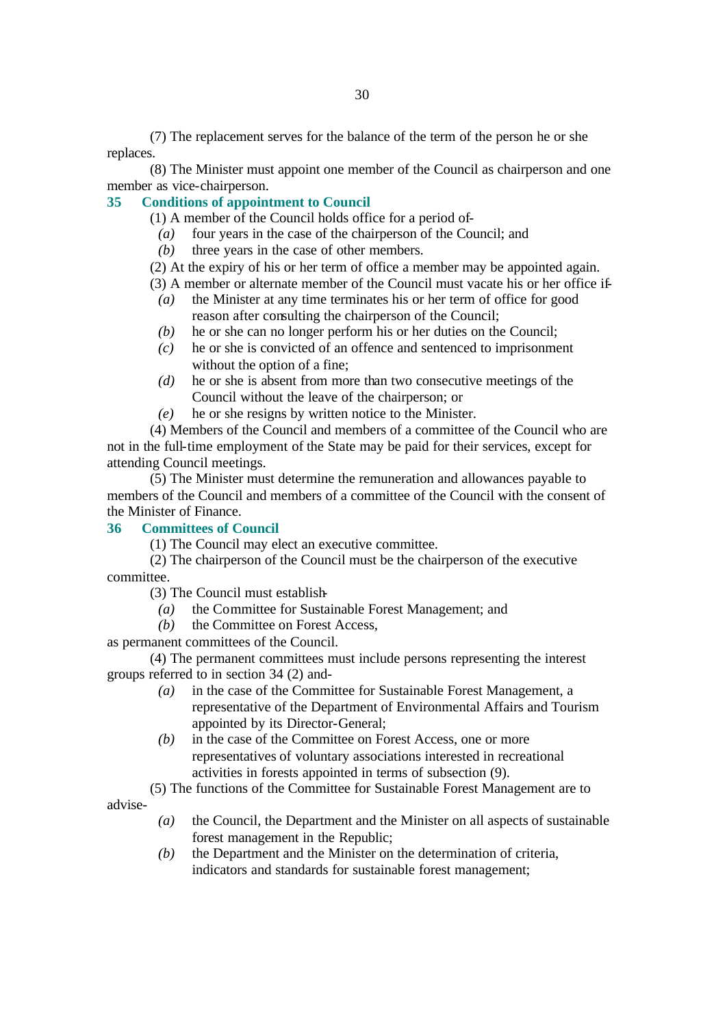(7) The replacement serves for the balance of the term of the person he or she replaces.

(8) The Minister must appoint one member of the Council as chairperson and one member as vice-chairperson.

#### **35 Conditions of appointment to Council**

(1) A member of the Council holds office for a period of-

- *(a)* four years in the case of the chairperson of the Council; and
- *(b)* three years in the case of other members.

(2) At the expiry of his or her term of office a member may be appointed again.

(3) A member or alternate member of the Council must vacate his or her office if-

- *(a)* the Minister at any time terminates his or her term of office for good reason after consulting the chairperson of the Council;
- *(b)* he or she can no longer perform his or her duties on the Council;
- *(c)* he or she is convicted of an offence and sentenced to imprisonment without the option of a fine;
- *(d)* he or she is absent from more than two consecutive meetings of the Council without the leave of the chairperson; or
- *(e)* he or she resigns by written notice to the Minister.

(4) Members of the Council and members of a committee of the Council who are not in the full-time employment of the State may be paid for their services, except for attending Council meetings.

(5) The Minister must determine the remuneration and allowances payable to members of the Council and members of a committee of the Council with the consent of the Minister of Finance.

#### **36 Committees of Council**

(1) The Council may elect an executive committee.

(2) The chairperson of the Council must be the chairperson of the executive committee.

(3) The Council must establish-

- *(a)* the Committee for Sustainable Forest Management; and
- *(b)* the Committee on Forest Access,

as permanent committees of the Council.

(4) The permanent committees must include persons representing the interest groups referred to in section 34 (2) and-

- *(a)* in the case of the Committee for Sustainable Forest Management, a representative of the Department of Environmental Affairs and Tourism appointed by its Director-General;
- *(b)* in the case of the Committee on Forest Access, one or more representatives of voluntary associations interested in recreational activities in forests appointed in terms of subsection (9).
- (5) The functions of the Committee for Sustainable Forest Management are to

advise-

- *(a)* the Council, the Department and the Minister on all aspects of sustainable forest management in the Republic;
- *(b)* the Department and the Minister on the determination of criteria, indicators and standards for sustainable forest management;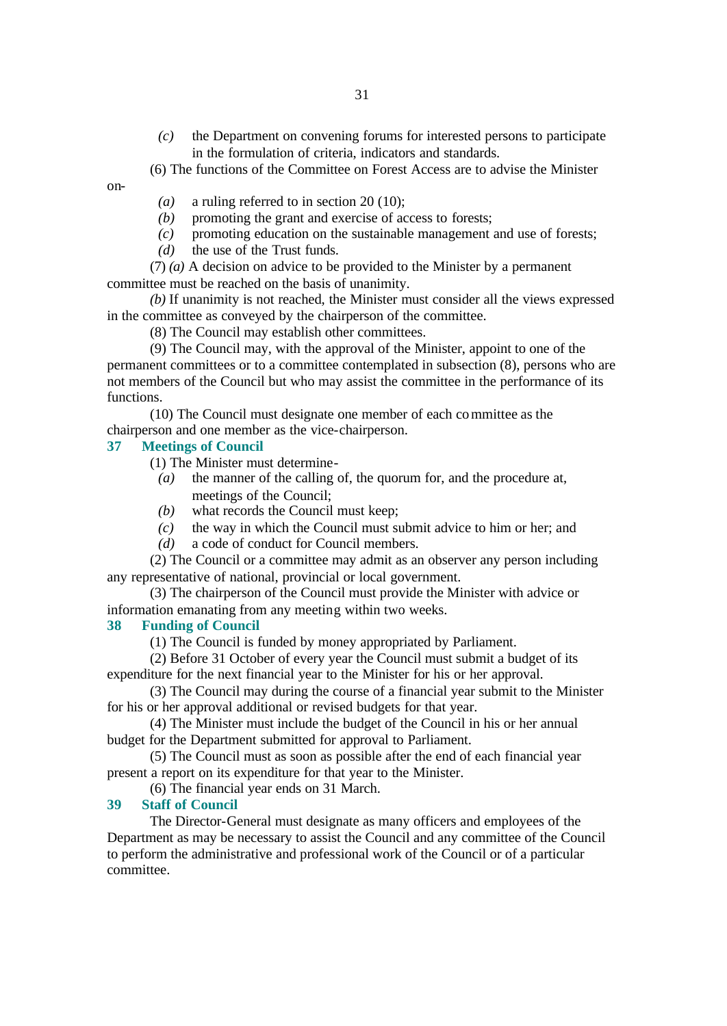- *(c)* the Department on convening forums for interested persons to participate in the formulation of criteria, indicators and standards.
- (6) The functions of the Committee on Forest Access are to advise the Minister

on-

- *(a)* a ruling referred to in section 20 (10);
- *(b)* promoting the grant and exercise of access to forests;
- *(c)* promoting education on the sustainable management and use of forests;
- *(d)* the use of the Trust funds.

(7) *(a)* A decision on advice to be provided to the Minister by a permanent committee must be reached on the basis of unanimity.

*(b)* If unanimity is not reached, the Minister must consider all the views expressed in the committee as conveyed by the chairperson of the committee.

(8) The Council may establish other committees.

(9) The Council may, with the approval of the Minister, appoint to one of the permanent committees or to a committee contemplated in subsection (8), persons who are not members of the Council but who may assist the committee in the performance of its functions.

(10) The Council must designate one member of each committee as the chairperson and one member as the vice-chairperson.

### **37 Meetings of Council**

(1) The Minister must determine-

- *(a)* the manner of the calling of, the quorum for, and the procedure at, meetings of the Council;
- *(b)* what records the Council must keep;
- *(c)* the way in which the Council must submit advice to him or her; and
- *(d)* a code of conduct for Council members.

(2) The Council or a committee may admit as an observer any person including any representative of national, provincial or local government.

(3) The chairperson of the Council must provide the Minister with advice or information emanating from any meeting within two weeks.

#### **38 Funding of Council**

(1) The Council is funded by money appropriated by Parliament.

(2) Before 31 October of every year the Council must submit a budget of its expenditure for the next financial year to the Minister for his or her approval.

(3) The Council may during the course of a financial year submit to the Minister for his or her approval additional or revised budgets for that year.

(4) The Minister must include the budget of the Council in his or her annual budget for the Department submitted for approval to Parliament.

(5) The Council must as soon as possible after the end of each financial year present a report on its expenditure for that year to the Minister.

(6) The financial year ends on 31 March.

#### **39 Staff of Council**

The Director-General must designate as many officers and employees of the Department as may be necessary to assist the Council and any committee of the Council to perform the administrative and professional work of the Council or of a particular committee.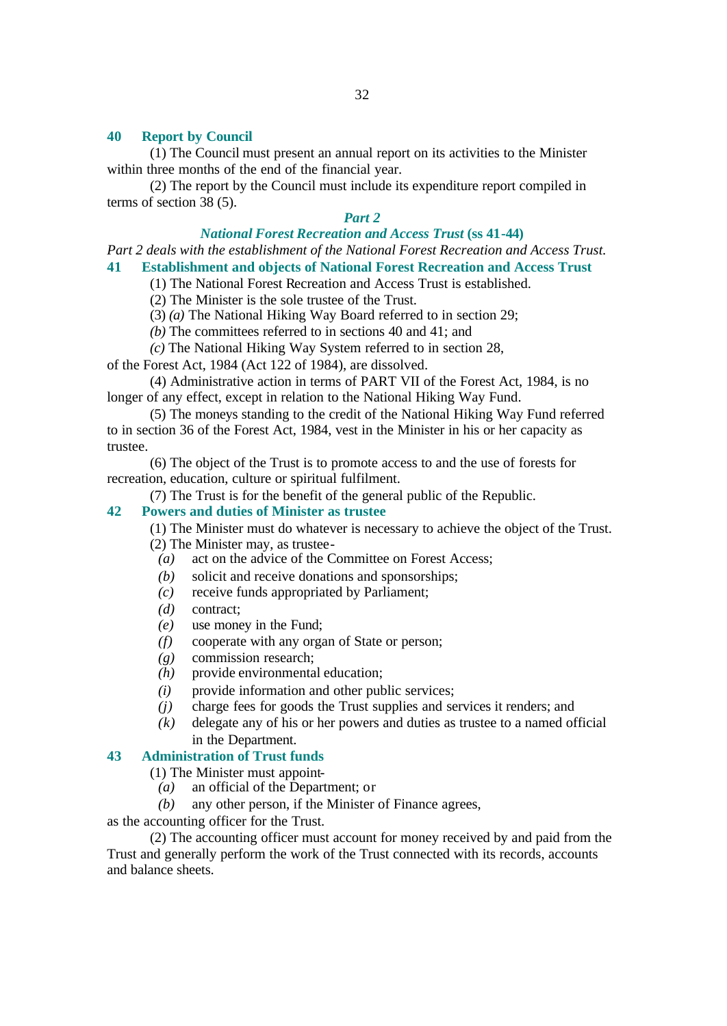#### **40 Report by Council**

(1) The Council must present an annual report on its activities to the Minister within three months of the end of the financial year.

(2) The report by the Council must include its expenditure report compiled in terms of section 38 (5).

#### *Part 2*

### *National Forest Recreation and Access Trust* **(ss 41-44)**

*Part 2 deals with the establishment of the National Forest Recreation and Access Trust.*

#### **41 Establishment and objects of National Forest Recreation and Access Trust**

(1) The National Forest Recreation and Access Trust is established.

(2) The Minister is the sole trustee of the Trust.

(3) *(a)* The National Hiking Way Board referred to in section 29;

*(b)* The committees referred to in sections 40 and 41; and

*(c)* The National Hiking Way System referred to in section 28,

of the Forest Act, 1984 (Act 122 of 1984), are dissolved.

(4) Administrative action in terms of PART VII of the Forest Act, 1984, is no longer of any effect, except in relation to the National Hiking Way Fund.

(5) The moneys standing to the credit of the National Hiking Way Fund referred to in section 36 of the Forest Act, 1984, vest in the Minister in his or her capacity as trustee.

(6) The object of the Trust is to promote access to and the use of forests for recreation, education, culture or spiritual fulfilment.

(7) The Trust is for the benefit of the general public of the Republic.

#### **42 Powers and duties of Minister as trustee**

(1) The Minister must do whatever is necessary to achieve the object of the Trust. (2) The Minister may, as trustee-

*(a)* act on the advice of the Committee on Forest Access;

- *(b)* solicit and receive donations and sponsorships;
- *(c)* receive funds appropriated by Parliament;
- *(d)* contract;
- *(e)* use money in the Fund;
- *(f)* cooperate with any organ of State or person;
- *(g)* commission research;
- *(h)* provide environmental education;
- *(i)* provide information and other public services:
- *(j)* charge fees for goods the Trust supplies and services it renders; and
- *(k)* delegate any of his or her powers and duties as trustee to a named official in the Department.

#### **43 Administration of Trust funds**

(1) The Minister must appoint-

- *(a)* an official of the Department; or
- *(b)* any other person, if the Minister of Finance agrees,

as the accounting officer for the Trust.

(2) The accounting officer must account for money received by and paid from the Trust and generally perform the work of the Trust connected with its records, accounts and balance sheets.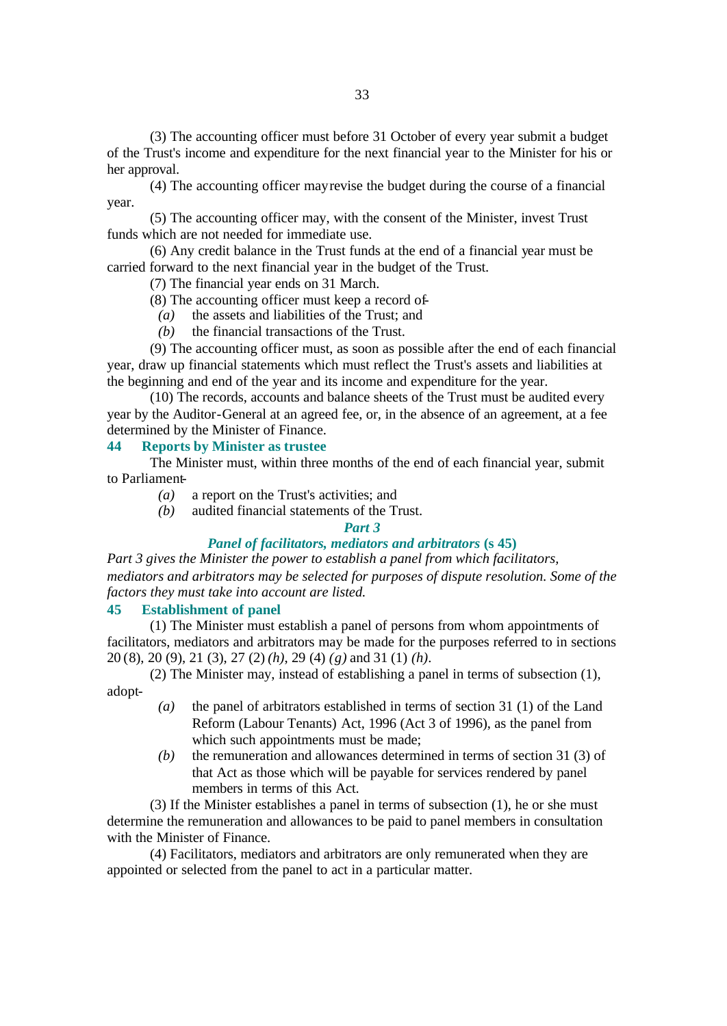(3) The accounting officer must before 31 October of every year submit a budget of the Trust's income and expenditure for the next financial year to the Minister for his or her approval.

(4) The accounting officer may revise the budget during the course of a financial year.

(5) The accounting officer may, with the consent of the Minister, invest Trust funds which are not needed for immediate use.

(6) Any credit balance in the Trust funds at the end of a financial year must be carried forward to the next financial year in the budget of the Trust.

(7) The financial year ends on 31 March.

- (8) The accounting officer must keep a record of-
	- *(a)* the assets and liabilities of the Trust; and
	- *(b)* the financial transactions of the Trust.

(9) The accounting officer must, as soon as possible after the end of each financial year, draw up financial statements which must reflect the Trust's assets and liabilities at the beginning and end of the year and its income and expenditure for the year.

(10) The records, accounts and balance sheets of the Trust must be audited every year by the Auditor-General at an agreed fee, or, in the absence of an agreement, at a fee determined by the Minister of Finance.

### **44 Reports by Minister as trustee**

The Minister must, within three months of the end of each financial year, submit to Parliament-

- *(a)* a report on the Trust's activities; and
- *(b)* audited financial statements of the Trust.

#### *Part 3*

#### *Panel of facilitators, mediators and arbitrators* **(s 45)**

*Part 3 gives the Minister the power to establish a panel from which facilitators, mediators and arbitrators may be selected for purposes of dispute resolution. Some of the factors they must take into account are listed.*

#### **45 Establishment of panel**

(1) The Minister must establish a panel of persons from whom appointments of facilitators, mediators and arbitrators may be made for the purposes referred to in sections 20 (8), 20 (9), 21 (3), 27 (2) *(h)*, 29 (4) *(g)* and 31 (1) *(h)*.

(2) The Minister may, instead of establishing a panel in terms of subsection (1), adopt-

- *(a)* the panel of arbitrators established in terms of section 31 (1) of the Land Reform (Labour Tenants) Act, 1996 (Act 3 of 1996), as the panel from which such appointments must be made;
- *(b)* the remuneration and allowances determined in terms of section 31 (3) of that Act as those which will be payable for services rendered by panel members in terms of this Act.

(3) If the Minister establishes a panel in terms of subsection (1), he or she must determine the remuneration and allowances to be paid to panel members in consultation with the Minister of Finance.

(4) Facilitators, mediators and arbitrators are only remunerated when they are appointed or selected from the panel to act in a particular matter.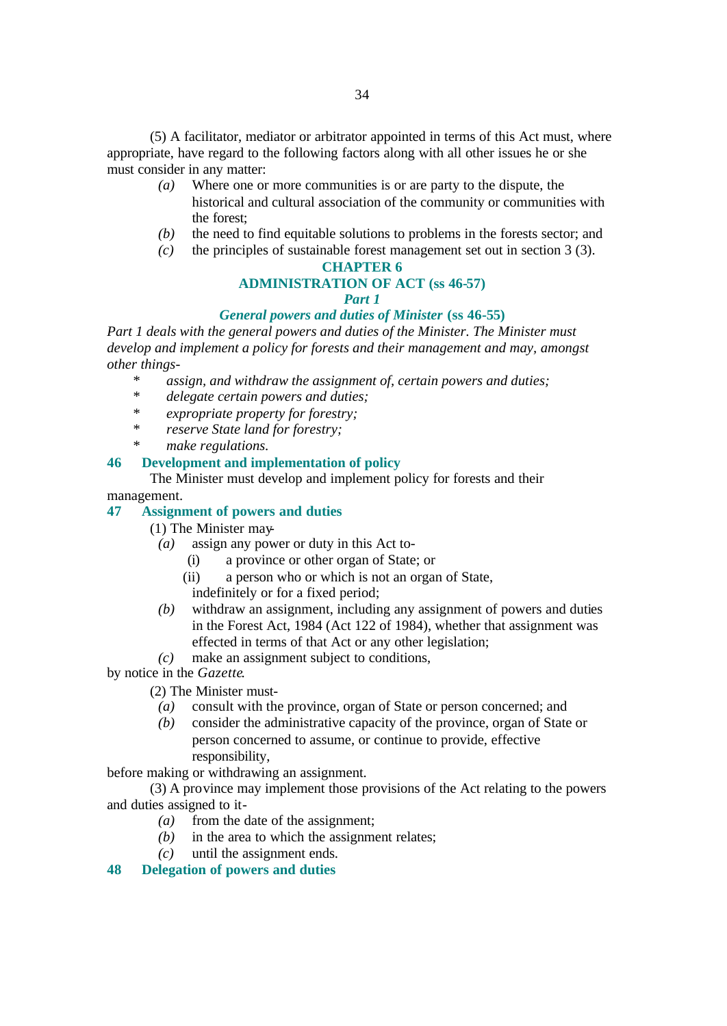(5) A facilitator, mediator or arbitrator appointed in terms of this Act must, where appropriate, have regard to the following factors along with all other issues he or she must consider in any matter:

- *(a)* Where one or more communities is or are party to the dispute, the historical and cultural association of the community or communities with the forest;
- *(b)* the need to find equitable solutions to problems in the forests sector; and
- *(c)* the principles of sustainable forest management set out in section 3 (3).

#### **CHAPTER 6**

### **ADMINISTRATION OF ACT (ss 46-57)**

### *Part 1*

### *General powers and duties of Minister* **(ss 46-55)**

*Part 1 deals with the general powers and duties of the Minister. The Minister must develop and implement a policy for forests and their management and may, amongst other things-*

- *\* assign, and withdraw the assignment of, certain powers and duties;*
- *\* delegate certain powers and duties;*
- *\* expropriate property for forestry;*
- *\* reserve State land for forestry;*
- *\* make regulations.*

### **46 Development and implementation of policy**

The Minister must develop and implement policy for forests and their

#### management.

#### **47 Assignment of powers and duties**

- (1) The Minister may-
	- *(a)* assign any power or duty in this Act to-
		- (i) a province or other organ of State; or
		- (ii) a person who or which is not an organ of State,
		- indefinitely or for a fixed period;
	- *(b)* withdraw an assignment, including any assignment of powers and duties in the Forest Act, 1984 (Act 122 of 1984), whether that assignment was effected in terms of that Act or any other legislation;
	- *(c)* make an assignment subject to conditions,

by notice in the *Gazette*.

- (2) The Minister must-
	- *(a)* consult with the province, organ of State or person concerned; and
	- *(b)* consider the administrative capacity of the province, organ of State or person concerned to assume, or continue to provide, effective responsibility,

before making or withdrawing an assignment.

(3) A province may implement those provisions of the Act relating to the powers and duties assigned to it-

- *(a)* from the date of the assignment;
- *(b)* in the area to which the assignment relates;
- *(c)* until the assignment ends.
- **48 Delegation of powers and duties**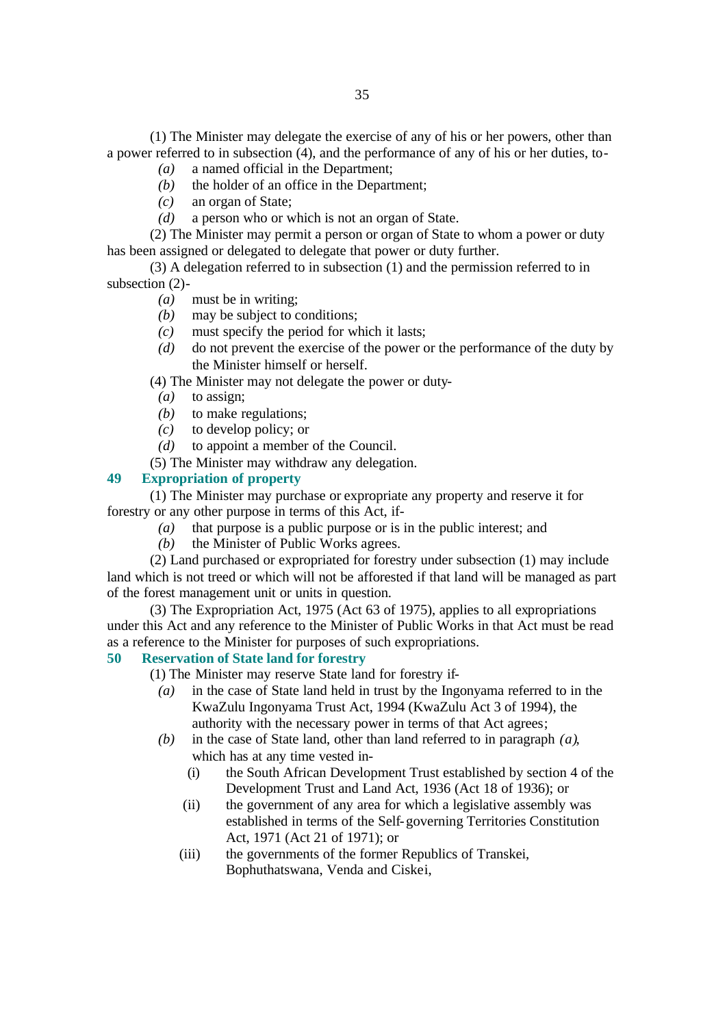(1) The Minister may delegate the exercise of any of his or her powers, other than a power referred to in subsection (4), and the performance of any of his or her duties, to-

- *(a)* a named official in the Department;
- *(b)* the holder of an office in the Department;
- *(c)* an organ of State;
- *(d)* a person who or which is not an organ of State.

(2) The Minister may permit a person or organ of State to whom a power or duty has been assigned or delegated to delegate that power or duty further.

(3) A delegation referred to in subsection (1) and the permission referred to in subsection (2)-

- *(a)* must be in writing;
- *(b)* may be subject to conditions;
- *(c)* must specify the period for which it lasts;
- *(d)* do not prevent the exercise of the power or the performance of the duty by the Minister himself or herself.
- (4) The Minister may not delegate the power or duty-
- *(a)* to assign;
- *(b)* to make regulations;
- *(c)* to develop policy; or
- *(d)* to appoint a member of the Council.
- (5) The Minister may withdraw any delegation.

#### **49 Expropriation of property**

(1) The Minister may purchase or expropriate any property and reserve it for forestry or any other purpose in terms of this Act, if-

- *(a)* that purpose is a public purpose or is in the public interest; and
- *(b)* the Minister of Public Works agrees.

(2) Land purchased or expropriated for forestry under subsection (1) may include land which is not treed or which will not be afforested if that land will be managed as part of the forest management unit or units in question.

(3) The Expropriation Act, 1975 (Act 63 of 1975), applies to all expropriations under this Act and any reference to the Minister of Public Works in that Act must be read as a reference to the Minister for purposes of such expropriations.

### **50 Reservation of State land for forestry**

(1) The Minister may reserve State land for forestry if-

- *(a)* in the case of State land held in trust by the Ingonyama referred to in the KwaZulu Ingonyama Trust Act, 1994 (KwaZulu Act 3 of 1994), the authority with the necessary power in terms of that Act agrees;
- *(b)* in the case of State land, other than land referred to in paragraph *(a)*, which has at any time vested in-
	- (i) the South African Development Trust established by section 4 of the Development Trust and Land Act, 1936 (Act 18 of 1936); or
	- (ii) the government of any area for which a legislative assembly was established in terms of the Self-governing Territories Constitution Act, 1971 (Act 21 of 1971); or
	- (iii) the governments of the former Republics of Transkei, Bophuthatswana, Venda and Ciskei,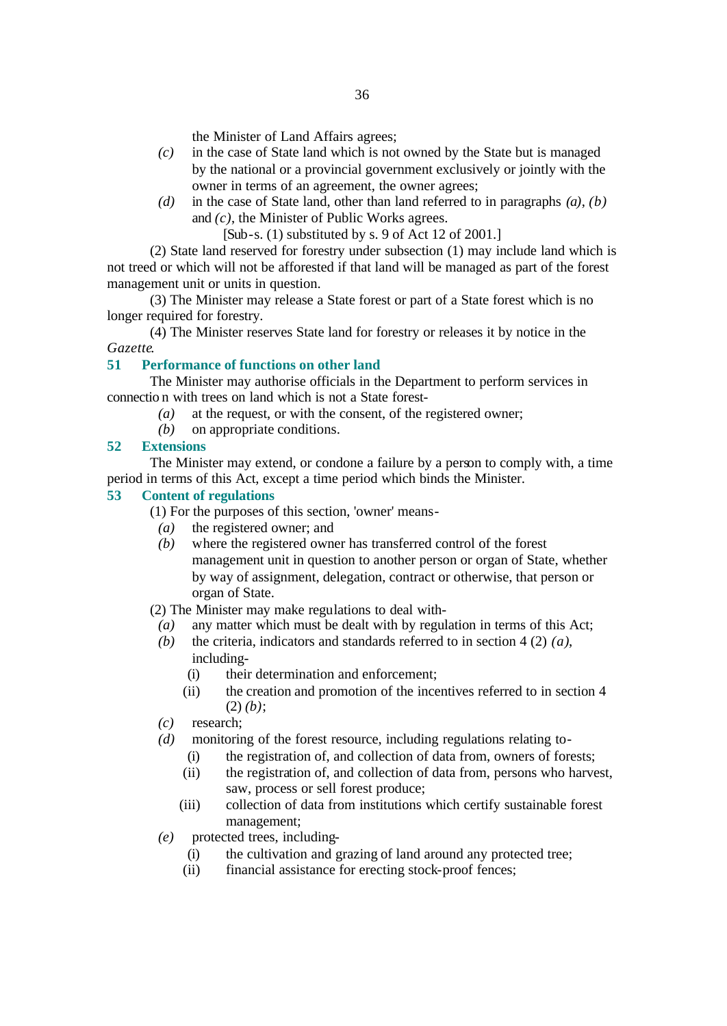the Minister of Land Affairs agrees;

- *(c)* in the case of State land which is not owned by the State but is managed by the national or a provincial government exclusively or jointly with the owner in terms of an agreement, the owner agrees;
- *(d)* in the case of State land, other than land referred to in paragraphs *(a)*, *(b)* and *(c)*, the Minister of Public Works agrees.

[Sub-s. (1) substituted by s. 9 of Act 12 of 2001.]

(2) State land reserved for forestry under subsection (1) may include land which is not treed or which will not be afforested if that land will be managed as part of the forest management unit or units in question.

(3) The Minister may release a State forest or part of a State forest which is no longer required for forestry.

(4) The Minister reserves State land for forestry or releases it by notice in the *Gazette*.

### **51 Performance of functions on other land**

The Minister may authorise officials in the Department to perform services in connectio n with trees on land which is not a State forest-

- *(a)* at the request, or with the consent, of the registered owner;
- *(b)* on appropriate conditions.

#### **52 Extensions**

The Minister may extend, or condone a failure by a person to comply with, a time period in terms of this Act, except a time period which binds the Minister.

#### **53 Content of regulations**

(1) For the purposes of this section, 'owner' means-

- *(a)* the registered owner; and
- *(b)* where the registered owner has transferred control of the forest management unit in question to another person or organ of State, whether by way of assignment, delegation, contract or otherwise, that person or organ of State.

(2) The Minister may make regulations to deal with-

- *(a)* any matter which must be dealt with by regulation in terms of this Act;
- *(b)* the criteria, indicators and standards referred to in section 4 (2) *(a)*, including-
	- (i) their determination and enforcement;
	- (ii) the creation and promotion of the incentives referred to in section 4  $(2)$   $(b)$ ;
- *(c)* research;
- *(d)* monitoring of the forest resource, including regulations relating to-
	- (i) the registration of, and collection of data from, owners of forests;
	- (ii) the registration of, and collection of data from, persons who harvest, saw, process or sell forest produce;
	- (iii) collection of data from institutions which certify sustainable forest management;
- *(e)* protected trees, including-
	- (i) the cultivation and grazing of land around any protected tree;
	- (ii) financial assistance for erecting stock-proof fences;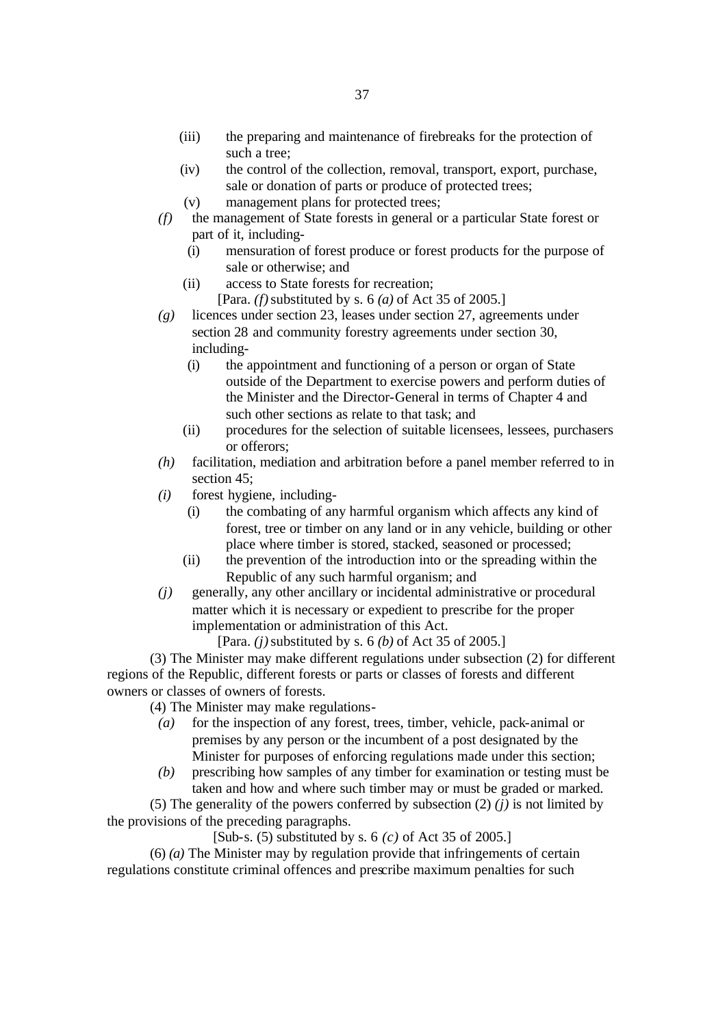- (iii) the preparing and maintenance of firebreaks for the protection of such a tree;
- (iv) the control of the collection, removal, transport, export, purchase, sale or donation of parts or produce of protected trees;
- (v) management plans for protected trees;
- *(f)* the management of State forests in general or a particular State forest or part of it, including-
	- (i) mensuration of forest produce or forest products for the purpose of sale or otherwise; and
	- (ii) access to State forests for recreation;
		- [Para. *(f)* substituted by s. 6 *(a)* of Act 35 of 2005.]
- *(g)* licences under section 23, leases under section 27, agreements under section 28 and community forestry agreements under section 30, including-
	- (i) the appointment and functioning of a person or organ of State outside of the Department to exercise powers and perform duties of the Minister and the Director-General in terms of Chapter 4 and such other sections as relate to that task; and
	- (ii) procedures for the selection of suitable licensees, lessees, purchasers or offerors;
- *(h)* facilitation, mediation and arbitration before a panel member referred to in section 45;
- *(i)* forest hygiene, including-
	- (i) the combating of any harmful organism which affects any kind of forest, tree or timber on any land or in any vehicle, building or other place where timber is stored, stacked, seasoned or processed;
	- (ii) the prevention of the introduction into or the spreading within the Republic of any such harmful organism; and
- *(j)* generally, any other ancillary or incidental administrative or procedural matter which it is necessary or expedient to prescribe for the proper implementation or administration of this Act.

[Para. *(j)* substituted by s. 6 *(b)* of Act 35 of 2005.]

(3) The Minister may make different regulations under subsection (2) for different regions of the Republic, different forests or parts or classes of forests and different owners or classes of owners of forests.

(4) The Minister may make regulations-

- *(a)* for the inspection of any forest, trees, timber, vehicle, pack-animal or premises by any person or the incumbent of a post designated by the Minister for purposes of enforcing regulations made under this section;
- *(b)* prescribing how samples of any timber for examination or testing must be taken and how and where such timber may or must be graded or marked.

(5) The generality of the powers conferred by subsection (2) *(j)* is not limited by the provisions of the preceding paragraphs.

[Sub-s. (5) substituted by s. 6 *(c)* of Act 35 of 2005.]

(6) *(a)* The Minister may by regulation provide that infringements of certain regulations constitute criminal offences and prescribe maximum penalties for such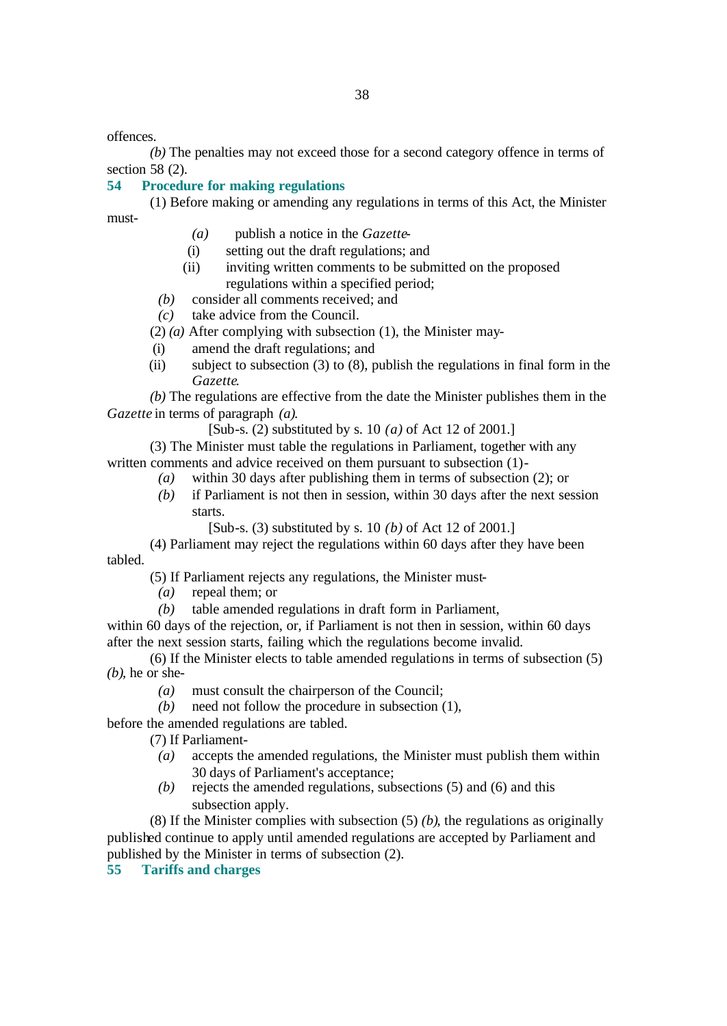offences.

*(b)* The penalties may not exceed those for a second category offence in terms of section 58 (2).

#### **54 Procedure for making regulations**

(1) Before making or amending any regulations in terms of this Act, the Minister must-

- *(a)* publish a notice in the *Gazette*-
- (i) setting out the draft regulations; and
- (ii) inviting written comments to be submitted on the proposed regulations within a specified period;
- *(b)* consider all comments received; and
- *(c)* take advice from the Council.

(2) *(a)* After complying with subsection (1), the Minister may-

- (i) amend the draft regulations; and
- (ii) subject to subsection (3) to (8), publish the regulations in final form in the *Gazette*.

*(b)* The regulations are effective from the date the Minister publishes them in the *Gazette* in terms of paragraph *(a)*.

[Sub-s. (2) substituted by s. 10 *(a)* of Act 12 of 2001.]

(3) The Minister must table the regulations in Parliament, together with any written comments and advice received on them pursuant to subsection (1)-

- *(a)* within 30 days after publishing them in terms of subsection (2); or
- *(b)* if Parliament is not then in session, within 30 days after the next session starts.

[Sub-s. (3) substituted by s. 10 *(b)* of Act 12 of 2001.]

(4) Parliament may reject the regulations within 60 days after they have been tabled.

(5) If Parliament rejects any regulations, the Minister must-

- *(a)* repeal them; or
- *(b)* table amended regulations in draft form in Parliament,

within 60 days of the rejection, or, if Parliament is not then in session, within 60 days after the next session starts, failing which the regulations become invalid.

(6) If the Minister elects to table amended regulations in terms of subsection (5) *(b)*, he or she-

- *(a)* must consult the chairperson of the Council;
- *(b)* need not follow the procedure in subsection (1),

#### before the amended regulations are tabled.

(7) If Parliament-

- *(a)* accepts the amended regulations, the Minister must publish them within 30 days of Parliament's acceptance;
- *(b)* rejects the amended regulations, subsections (5) and (6) and this subsection apply.

(8) If the Minister complies with subsection (5) *(b)*, the regulations as originally published continue to apply until amended regulations are accepted by Parliament and published by the Minister in terms of subsection (2).

#### **55 Tariffs and charges**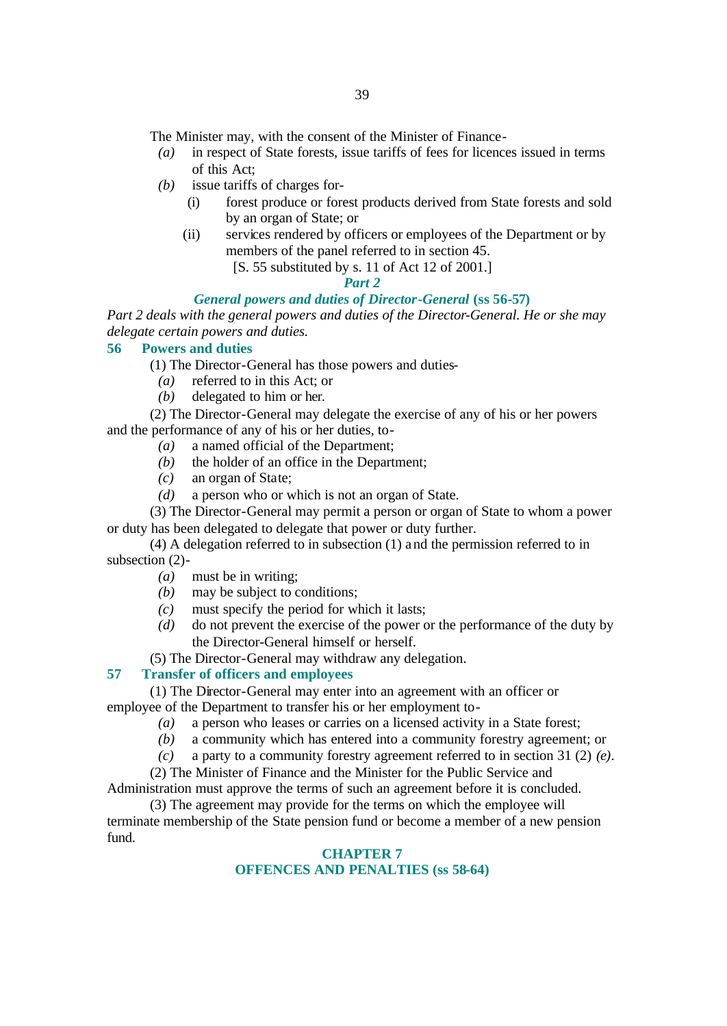The Minister may, with the consent of the Minister of Finance-

- *(a)* in respect of State forests, issue tariffs of fees for licences issued in terms of this Act;
- *(b)* issue tariffs of charges for-
	- (i) forest produce or forest products derived from State forests and sold by an organ of State; or
	- (ii) services rendered by officers or employees of the Department or by members of the panel referred to in section 45.
		- [S. 55 substituted by s. 11 of Act 12 of 2001.]

#### *Part 2*

#### *General powers and duties of Director-General* **(ss 56-57)**

*Part 2 deals with the general powers and duties of the Director-General. He or she may delegate certain powers and duties.*

### **56 Powers and duties**

(1) The Director-General has those powers and duties-

- *(a)* referred to in this Act; or
- *(b)* delegated to him or her.

(2) The Director-General may delegate the exercise of any of his or her powers and the performance of any of his or her duties, to-

- *(a)* a named official of the Department;
- *(b)* the holder of an office in the Department;
- *(c)* an organ of State;
- *(d)* a person who or which is not an organ of State.

(3) The Director-General may permit a person or organ of State to whom a power or duty has been delegated to delegate that power or duty further.

(4) A delegation referred to in subsection (1) a nd the permission referred to in subsection (2)-

- *(a)* must be in writing;
- *(b)* may be subject to conditions;
- *(c)* must specify the period for which it lasts;
- *(d)* do not prevent the exercise of the power or the performance of the duty by the Director-General himself or herself.
- (5) The Director-General may withdraw any delegation.

#### **57 Transfer of officers and employees**

(1) The Director-General may enter into an agreement with an officer or employee of the Department to transfer his or her employment to-

- *(a)* a person who leases or carries on a licensed activity in a State forest;
- *(b)* a community which has entered into a community forestry agreement; or
- *(c)* a party to a community forestry agreement referred to in section 31 (2) *(e)*.

(2) The Minister of Finance and the Minister for the Public Service and Administration must approve the terms of such an agreement before it is concluded.

(3) The agreement may provide for the terms on which the employee will terminate membership of the State pension fund or become a member of a new pension fund.

#### **CHAPTER 7 OFFENCES AND PENALTIES (ss 58-64)**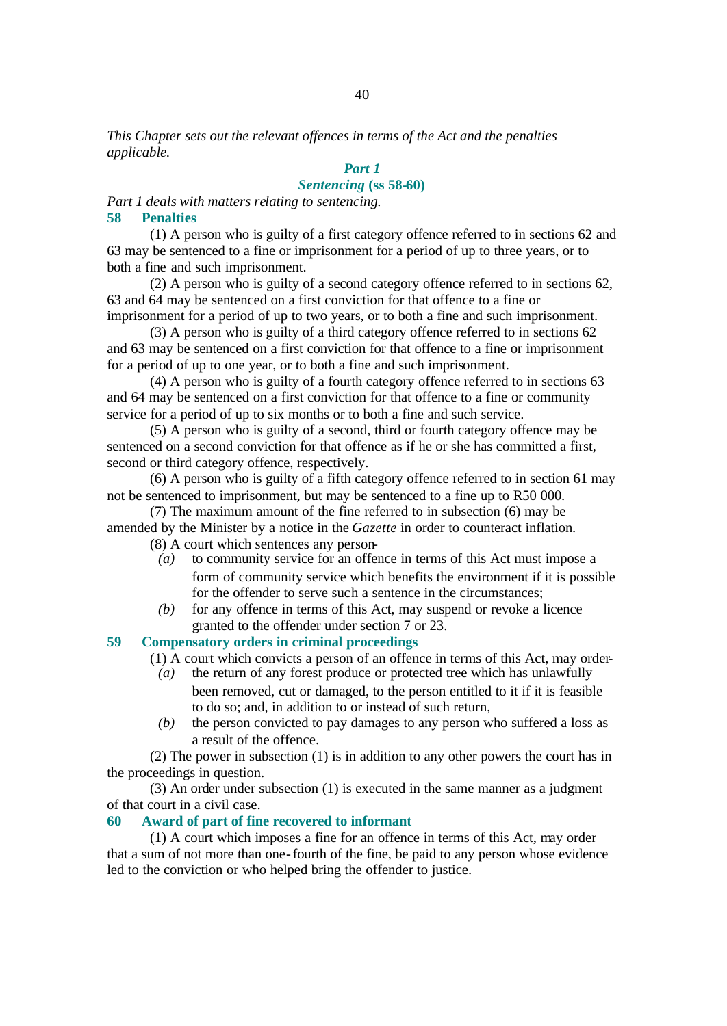*This Chapter sets out the relevant offences in terms of the Act and the penalties applicable.*

## *Part 1*

### *Sentencing* **(ss 58-60)**

*Part 1 deals with matters relating to sentencing.* **58 Penalties**

(1) A person who is guilty of a first category offence referred to in sections 62 and 63 may be sentenced to a fine or imprisonment for a period of up to three years, or to both a fine and such imprisonment.

(2) A person who is guilty of a second category offence referred to in sections 62, 63 and 64 may be sentenced on a first conviction for that offence to a fine or imprisonment for a period of up to two years, or to both a fine and such imprisonment.

(3) A person who is guilty of a third category offence referred to in sections 62 and 63 may be sentenced on a first conviction for that offence to a fine or imprisonment for a period of up to one year, or to both a fine and such imprisonment.

(4) A person who is guilty of a fourth category offence referred to in sections 63 and 64 may be sentenced on a first conviction for that offence to a fine or community service for a period of up to six months or to both a fine and such service.

(5) A person who is guilty of a second, third or fourth category offence may be sentenced on a second conviction for that offence as if he or she has committed a first, second or third category offence, respectively.

(6) A person who is guilty of a fifth category offence referred to in section 61 may not be sentenced to imprisonment, but may be sentenced to a fine up to R50 000.

(7) The maximum amount of the fine referred to in subsection (6) may be amended by the Minister by a notice in the *Gazette* in order to counteract inflation.

- (8) A court which sentences any person-
	- *(a)* to community service for an offence in terms of this Act must impose a form of community service which benefits the environment if it is possible for the offender to serve such a sentence in the circumstances;
	- *(b)* for any offence in terms of this Act, may suspend or revoke a licence granted to the offender under section 7 or 23.

### **59 Compensatory orders in criminal proceedings**

(1) A court which convicts a person of an offence in terms of this Act, may order-

- *(a)* the return of any forest produce or protected tree which has unlawfully been removed, cut or damaged, to the person entitled to it if it is feasible to do so; and, in addition to or instead of such return,
- *(b)* the person convicted to pay damages to any person who suffered a loss as a result of the offence.

(2) The power in subsection (1) is in addition to any other powers the court has in the proceedings in question.

(3) An order under subsection (1) is executed in the same manner as a judgment of that court in a civil case.

#### **60 Award of part of fine recovered to informant**

(1) A court which imposes a fine for an offence in terms of this Act, may order that a sum of not more than one-fourth of the fine, be paid to any person whose evidence led to the conviction or who helped bring the offender to justice.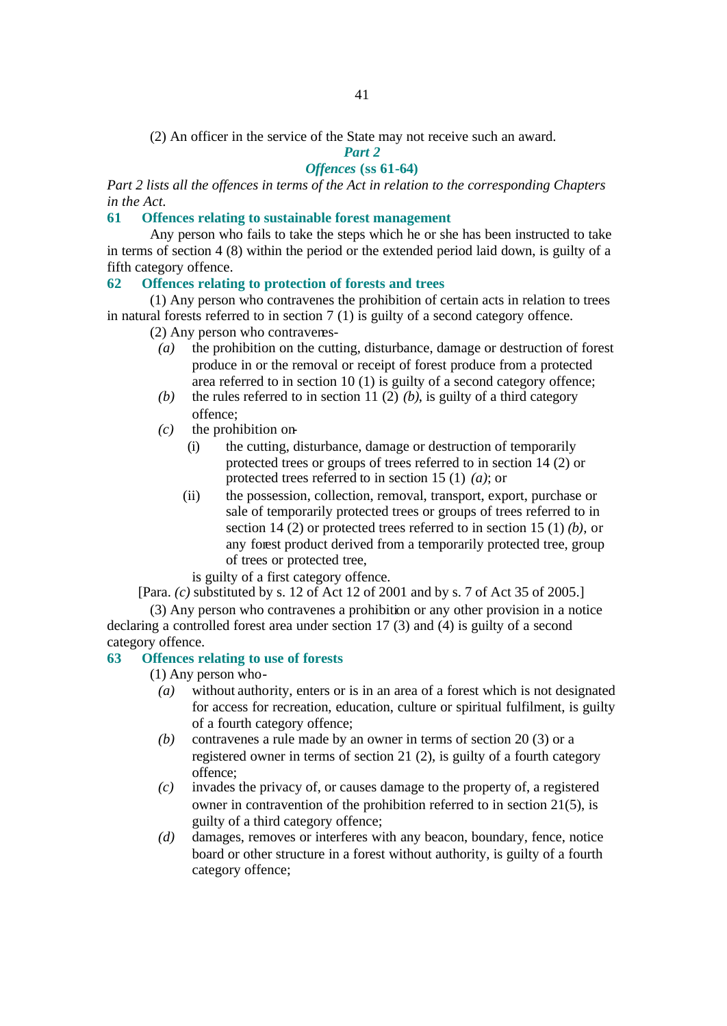(2) An officer in the service of the State may not receive such an award.

*Part 2*

### *Offences* **(ss 61-64)**

*Part 2 lists all the offences in terms of the Act in relation to the corresponding Chapters in the Act.*

#### **61 Offences relating to sustainable forest management**

Any person who fails to take the steps which he or she has been instructed to take in terms of section 4 (8) within the period or the extended period laid down, is guilty of a fifth category offence.

#### **62 Offences relating to protection of forests and trees**

(1) Any person who contravenes the prohibition of certain acts in relation to trees in natural forests referred to in section 7 (1) is guilty of a second category offence.

- (2) Any person who contravenes-
	- *(a)* the prohibition on the cutting, disturbance, damage or destruction of forest produce in or the removal or receipt of forest produce from a protected area referred to in section 10 (1) is guilty of a second category offence;
	- *(b)* the rules referred to in section 11 (2) *(b)*, is guilty of a third category offence;
	- *(c)* the prohibition on-
		- (i) the cutting, disturbance, damage or destruction of temporarily protected trees or groups of trees referred to in section 14 (2) or protected trees referred to in section 15 (1) *(a)*; or
		- (ii) the possession, collection, removal, transport, export, purchase or sale of temporarily protected trees or groups of trees referred to in section 14 (2) or protected trees referred to in section 15 (1) *(b)*, or any forest product derived from a temporarily protected tree, group of trees or protected tree,

is guilty of a first category offence.

[Para. *(c)* substituted by s. 12 of Act 12 of 2001 and by s. 7 of Act 35 of 2005.]

(3) Any person who contravenes a prohibition or any other provision in a notice declaring a controlled forest area under section 17 (3) and (4) is guilty of a second category offence.

#### **63 Offences relating to use of forests**

(1) Any person who-

- *(a)* without authority, enters or is in an area of a forest which is not designated for access for recreation, education, culture or spiritual fulfilment, is guilty of a fourth category offence;
- *(b)* contravenes a rule made by an owner in terms of section 20 (3) or a registered owner in terms of section 21 (2), is guilty of a fourth category offence;
- *(c)* invades the privacy of, or causes damage to the property of, a registered owner in contravention of the prohibition referred to in section 21(5), is guilty of a third category offence;
- *(d)* damages, removes or interferes with any beacon, boundary, fence, notice board or other structure in a forest without authority, is guilty of a fourth category offence;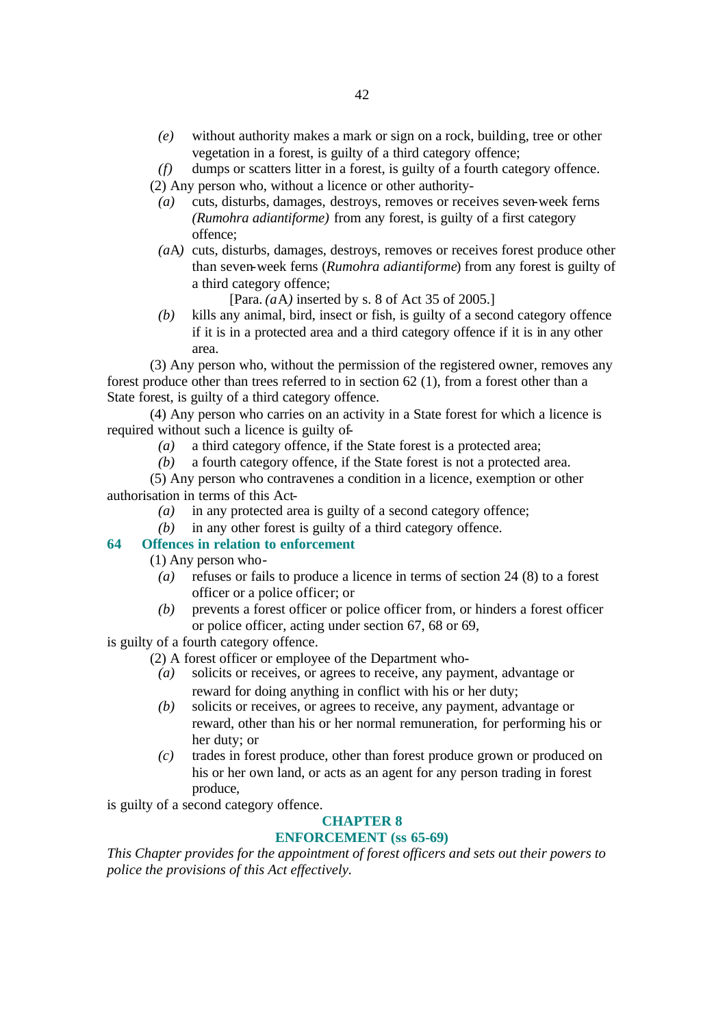*(e)* without authority makes a mark or sign on a rock, building, tree or other vegetation in a forest, is guilty of a third category offence;

*(f)* dumps or scatters litter in a forest, is guilty of a fourth category offence.

(2) Any person who, without a licence or other authority-

- *(a)* cuts, disturbs, damages, destroys, removes or receives seven-week ferns *(Rumohra adiantiforme)* from any forest, is guilty of a first category offence;
- *(a*A*)* cuts, disturbs, damages, destroys, removes or receives forest produce other than seven-week ferns (*Rumohra adiantiforme*) from any forest is guilty of a third category offence;

[Para. *(a*A*)* inserted by s. 8 of Act 35 of 2005.]

*(b)* kills any animal, bird, insect or fish, is guilty of a second category offence if it is in a protected area and a third category offence if it is in any other area.

(3) Any person who, without the permission of the registered owner, removes any forest produce other than trees referred to in section 62 (1), from a forest other than a State forest, is guilty of a third category offence.

(4) Any person who carries on an activity in a State forest for which a licence is required without such a licence is guilty of-

- *(a)* a third category offence, if the State forest is a protected area;
- *(b)* a fourth category offence, if the State forest is not a protected area.

(5) Any person who contravenes a condition in a licence, exemption or other authorisation in terms of this Act-

- *(a)* in any protected area is guilty of a second category offence;
- *(b)* in any other forest is guilty of a third category offence.

### **64 Offences in relation to enforcement**

(1) Any person who-

- *(a)* refuses or fails to produce a licence in terms of section 24 (8) to a forest officer or a police officer; or
- *(b)* prevents a forest officer or police officer from, or hinders a forest officer or police officer, acting under section 67, 68 or 69,

is guilty of a fourth category offence.

- (2) A forest officer or employee of the Department who-
	- *(a)* solicits or receives, or agrees to receive, any payment, advantage or reward for doing anything in conflict with his or her duty;
	- *(b)* solicits or receives, or agrees to receive, any payment, advantage or reward, other than his or her normal remuneration, for performing his or her duty; or
	- *(c)* trades in forest produce, other than forest produce grown or produced on his or her own land, or acts as an agent for any person trading in forest produce,

is guilty of a second category offence.

#### **CHAPTER 8**

### **ENFORCEMENT (ss 65-69)**

*This Chapter provides for the appointment of forest officers and sets out their powers to police the provisions of this Act effectively.*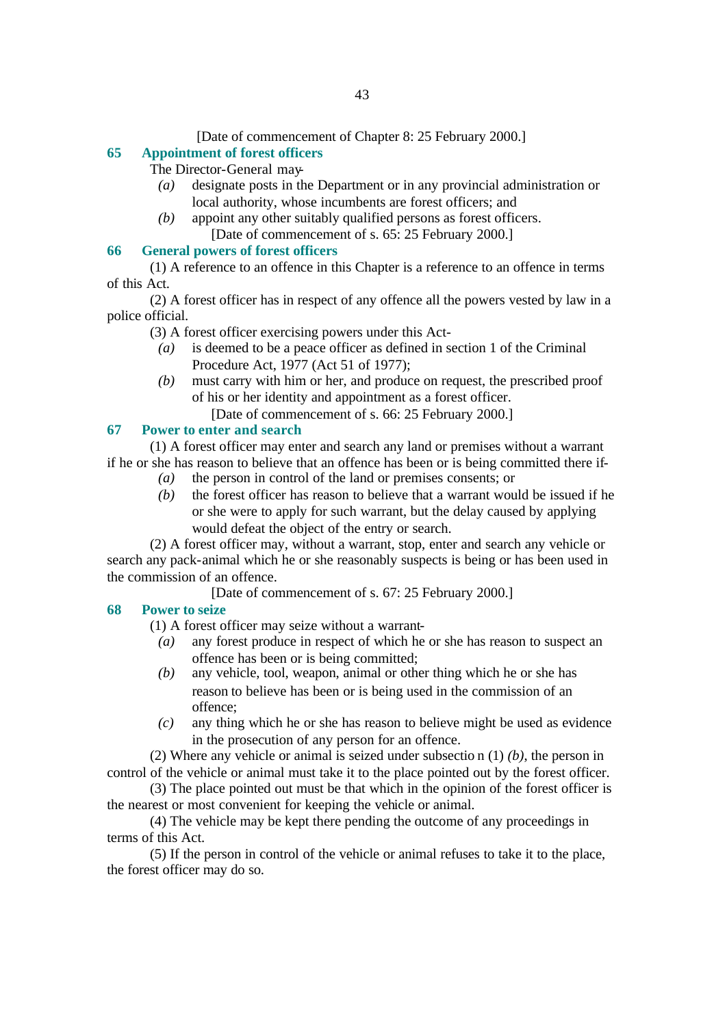#### [Date of commencement of Chapter 8: 25 February 2000.]

### **65 Appointment of forest officers**

The Director-General may-

- *(a)* designate posts in the Department or in any provincial administration or local authority, whose incumbents are forest officers; and
- *(b)* appoint any other suitably qualified persons as forest officers. [Date of commencement of s. 65: 25 February 2000.]

#### **66 General powers of forest officers**

(1) A reference to an offence in this Chapter is a reference to an offence in terms of this Act.

(2) A forest officer has in respect of any offence all the powers vested by law in a police official.

- (3) A forest officer exercising powers under this Act-
	- *(a)* is deemed to be a peace officer as defined in section 1 of the Criminal Procedure Act, 1977 (Act 51 of 1977);
	- *(b)* must carry with him or her, and produce on request, the prescribed proof of his or her identity and appointment as a forest officer.
		- [Date of commencement of s. 66: 25 February 2000.]

#### **67 Power to enter and search**

(1) A forest officer may enter and search any land or premises without a warrant if he or she has reason to believe that an offence has been or is being committed there if-

- *(a)* the person in control of the land or premises consents; or
- *(b)* the forest officer has reason to believe that a warrant would be issued if he or she were to apply for such warrant, but the delay caused by applying would defeat the object of the entry or search.

(2) A forest officer may, without a warrant, stop, enter and search any vehicle or search any pack-animal which he or she reasonably suspects is being or has been used in the commission of an offence.

[Date of commencement of s. 67: 25 February 2000.]

#### **68 Power to seize**

(1) A forest officer may seize without a warrant-

- *(a)* any forest produce in respect of which he or she has reason to suspect an offence has been or is being committed;
- *(b)* any vehicle, tool, weapon, animal or other thing which he or she has reason to believe has been or is being used in the commission of an offence;
- *(c)* any thing which he or she has reason to believe might be used as evidence in the prosecution of any person for an offence.

(2) Where any vehicle or animal is seized under subsectio n (1) *(b)*, the person in control of the vehicle or animal must take it to the place pointed out by the forest officer.

(3) The place pointed out must be that which in the opinion of the forest officer is the nearest or most convenient for keeping the vehicle or animal.

(4) The vehicle may be kept there pending the outcome of any proceedings in terms of this Act.

(5) If the person in control of the vehicle or animal refuses to take it to the place, the forest officer may do so.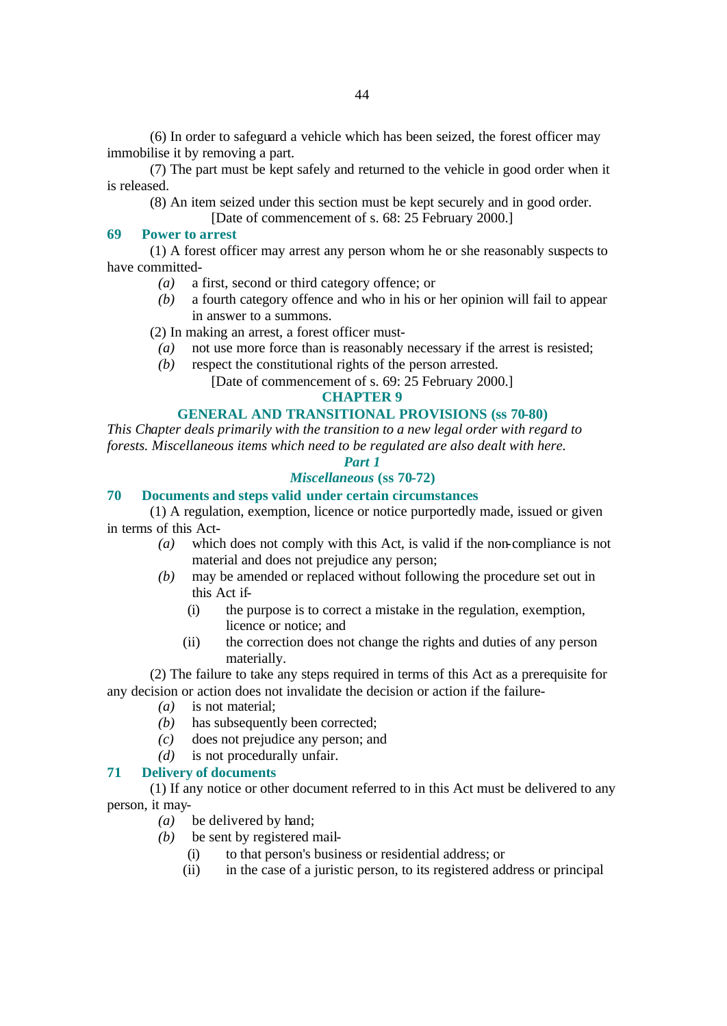(6) In order to safeguard a vehicle which has been seized, the forest officer may immobilise it by removing a part.

(7) The part must be kept safely and returned to the vehicle in good order when it is released.

(8) An item seized under this section must be kept securely and in good order.

[Date of commencement of s. 68: 25 February 2000.]

#### **69 Power to arrest**

(1) A forest officer may arrest any person whom he or she reasonably suspects to have committed-

- *(a)* a first, second or third category offence; or
- *(b)* a fourth category offence and who in his or her opinion will fail to appear in answer to a summons.
- (2) In making an arrest, a forest officer must-
	- *(a)* not use more force than is reasonably necessary if the arrest is resisted;
- *(b)* respect the constitutional rights of the person arrested.
	- [Date of commencement of s. 69: 25 February 2000.]

#### **CHAPTER 9**

### **GENERAL AND TRANSITIONAL PROVISIONS (ss 70-80)**

*This Chapter deals primarily with the transition to a new legal order with regard to forests. Miscellaneous items which need to be regulated are also dealt with here.*

### *Part 1*

### *Miscellaneous* **(ss 70-72)**

#### **70 Documents and steps valid under certain circumstances**

(1) A regulation, exemption, licence or notice purportedly made, issued or given in terms of this Act-

- *(a)* which does not comply with this Act, is valid if the non-compliance is not material and does not prejudice any person;
- *(b)* may be amended or replaced without following the procedure set out in this Act if-
	- (i) the purpose is to correct a mistake in the regulation, exemption, licence or notice; and
	- (ii) the correction does not change the rights and duties of any person materially.

(2) The failure to take any steps required in terms of this Act as a prerequisite for any decision or action does not invalidate the decision or action if the failure-

- *(a)* is not material;
- *(b)* has subsequently been corrected;
- *(c)* does not prejudice any person; and
- *(d)* is not procedurally unfair.

#### **71 Delivery of documents**

(1) If any notice or other document referred to in this Act must be delivered to any person, it may-

- *(a)* be delivered by hand;
- *(b)* be sent by registered mail-
	- (i) to that person's business or residential address; or
	- (ii) in the case of a juristic person, to its registered address or principal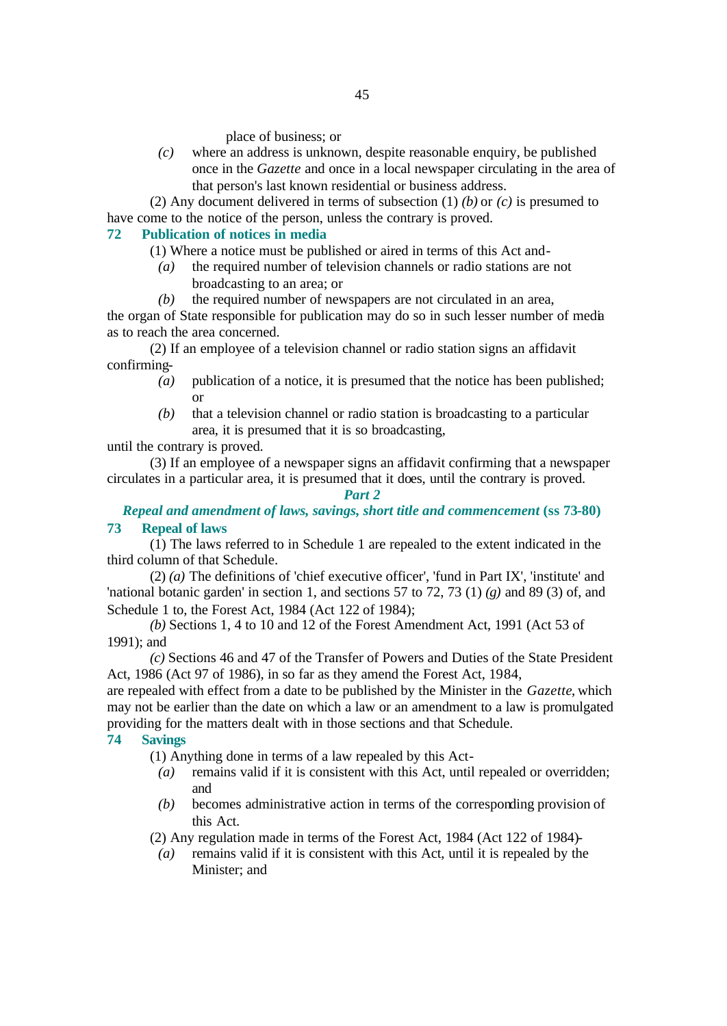place of business; or

*(c)* where an address is unknown, despite reasonable enquiry, be published once in the *Gazette* and once in a local newspaper circulating in the area of that person's last known residential or business address.

(2) Any document delivered in terms of subsection (1) *(b)* or *(c)* is presumed to have come to the notice of the person, unless the contrary is proved.

### **72 Publication of notices in media**

- (1) Where a notice must be published or aired in terms of this Act and-
	- *(a)* the required number of television channels or radio stations are not broadcasting to an area; or
	- *(b)* the required number of newspapers are not circulated in an area,

the organ of State responsible for publication may do so in such lesser number of media as to reach the area concerned.

(2) If an employee of a television channel or radio station signs an affidavit confirming-

- *(a)* publication of a notice, it is presumed that the notice has been published; or
- *(b)* that a television channel or radio station is broadcasting to a particular area, it is presumed that it is so broadcasting,

until the contrary is proved.

(3) If an employee of a newspaper signs an affidavit confirming that a newspaper circulates in a particular area, it is presumed that it does, until the contrary is proved.

*Part 2*

*Repeal and amendment of laws, savings, short title and commencement* **(ss 73-80) 73 Repeal of laws**

(1) The laws referred to in Schedule 1 are repealed to the extent indicated in the third column of that Schedule.

(2) *(a)* The definitions of 'chief executive officer', 'fund in Part IX', 'institute' and 'national botanic garden' in section 1, and sections 57 to 72, 73 (1) *(g)* and 89 (3) of, and Schedule 1 to, the Forest Act, 1984 (Act 122 of 1984);

*(b)* Sections 1, 4 to 10 and 12 of the Forest Amendment Act, 1991 (Act 53 of 1991); and

*(c)* Sections 46 and 47 of the Transfer of Powers and Duties of the State President Act, 1986 (Act 97 of 1986), in so far as they amend the Forest Act, 1984,

are repealed with effect from a date to be published by the Minister in the *Gazette*, which may not be earlier than the date on which a law or an amendment to a law is promulgated providing for the matters dealt with in those sections and that Schedule.

### **74 Savings**

(1) Anything done in terms of a law repealed by this Act-

- *(a)* remains valid if it is consistent with this Act, until repealed or overridden; and
- *(b)* becomes administrative action in terms of the corresponding provision of this Act.

(2) Any regulation made in terms of the Forest Act, 1984 (Act 122 of 1984)-

*(a)* remains valid if it is consistent with this Act, until it is repealed by the Minister; and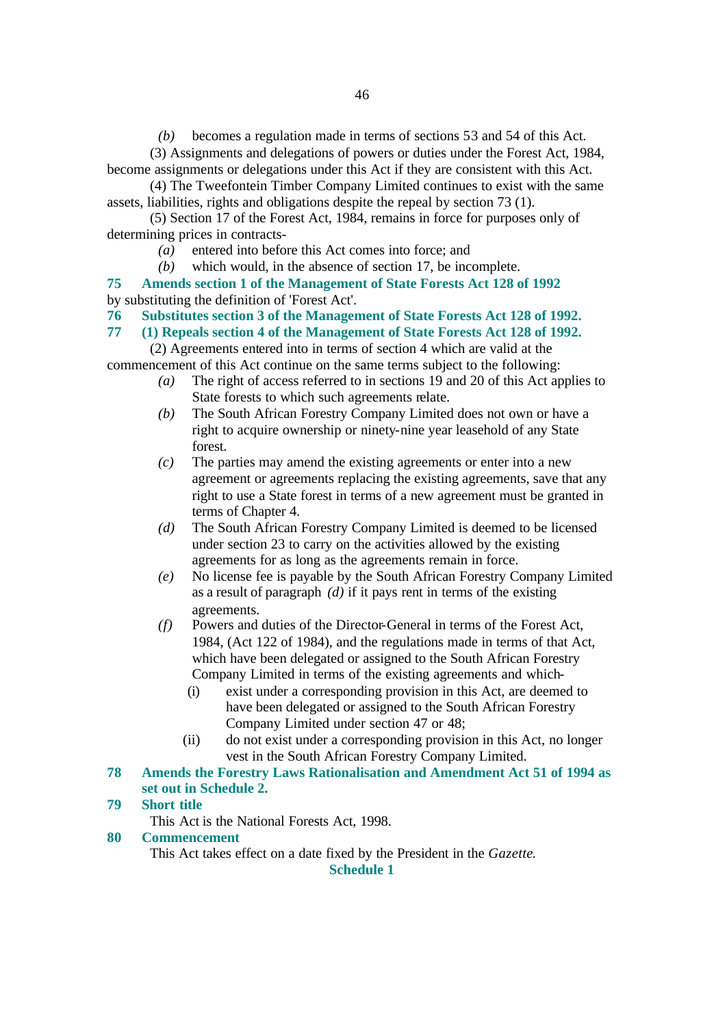*(b)* becomes a regulation made in terms of sections 53 and 54 of this Act.

(3) Assignments and delegations of powers or duties under the Forest Act, 1984, become assignments or delegations under this Act if they are consistent with this Act.

(4) The Tweefontein Timber Company Limited continues to exist with the same assets, liabilities, rights and obligations despite the repeal by section 73 (1).

(5) Section 17 of the Forest Act, 1984, remains in force for purposes only of determining prices in contracts-

*(a)* entered into before this Act comes into force; and

*(b)* which would, in the absence of section 17, be incomplete.

**75 Amends section 1 of the Management of State Forests Act 128 of 1992** by substituting the definition of 'Forest Act'.

**76 Substitutes section 3 of the Management of State Forests Act 128 of 1992.**

**77 (1) Repeals section 4 of the Management of State Forests Act 128 of 1992.**

(2) Agreements entered into in terms of section 4 which are valid at the commencement of this Act continue on the same terms subject to the following:

- *(a)* The right of access referred to in sections 19 and 20 of this Act applies to State forests to which such agreements relate.
- *(b)* The South African Forestry Company Limited does not own or have a right to acquire ownership or ninety-nine year leasehold of any State forest.
- *(c)* The parties may amend the existing agreements or enter into a new agreement or agreements replacing the existing agreements, save that any right to use a State forest in terms of a new agreement must be granted in terms of Chapter 4.
- *(d)* The South African Forestry Company Limited is deemed to be licensed under section 23 to carry on the activities allowed by the existing agreements for as long as the agreements remain in force.
- *(e)* No license fee is payable by the South African Forestry Company Limited as a result of paragraph *(d)* if it pays rent in terms of the existing agreements.
- *(f)* Powers and duties of the Director-General in terms of the Forest Act, 1984, (Act 122 of 1984), and the regulations made in terms of that Act, which have been delegated or assigned to the South African Forestry Company Limited in terms of the existing agreements and which-
	- (i) exist under a corresponding provision in this Act, are deemed to have been delegated or assigned to the South African Forestry Company Limited under section 47 or 48;
	- (ii) do not exist under a corresponding provision in this Act, no longer vest in the South African Forestry Company Limited.

### **78 Amends the Forestry Laws Rationalisation and Amendment Act 51 of 1994 as set out in Schedule 2.**

#### **79 Short title**

This Act is the National Forests Act, 1998.

#### **80 Commencement**

This Act takes effect on a date fixed by the President in the *Gazette*.

**Schedule 1**